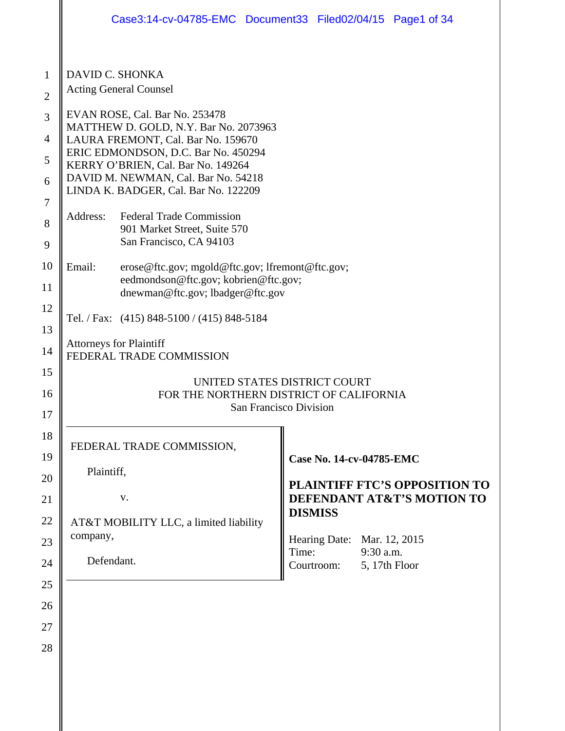| $\mathbf{1}$<br>$\overline{2}$<br>3<br>4<br>5<br>6<br>7<br>8<br>9<br>10<br>11<br>12<br>13 | Case3:14-cv-04785-EMC Document33 Filed02/04/15 Page1 of 34<br>DAVID C. SHONKA<br><b>Acting General Counsel</b><br>EVAN ROSE, Cal. Bar No. 253478<br>MATTHEW D. GOLD, N.Y. Bar No. 2073963<br>LAURA FREMONT, Cal. Bar No. 159670<br>ERIC EDMONDSON, D.C. Bar No. 450294<br>KERRY O'BRIEN, Cal. Bar No. 149264<br>DAVID M. NEWMAN, Cal. Bar No. 54218<br>LINDA K. BADGER, Cal. Bar No. 122209<br><b>Federal Trade Commission</b><br>Address:<br>901 Market Street, Suite 570<br>San Francisco, CA 94103<br>Email:<br>erose@ftc.gov; mgold@ftc.gov; lfremont@ftc.gov;<br>eedmondson@ftc.gov; kobrien@ftc.gov;<br>dnewman@ftc.gov; lbadger@ftc.gov<br>Tel. / Fax: (415) 848-5100 / (415) 848-5184 |                                                                                                   |  |  |
|-------------------------------------------------------------------------------------------|-----------------------------------------------------------------------------------------------------------------------------------------------------------------------------------------------------------------------------------------------------------------------------------------------------------------------------------------------------------------------------------------------------------------------------------------------------------------------------------------------------------------------------------------------------------------------------------------------------------------------------------------------------------------------------------------------|---------------------------------------------------------------------------------------------------|--|--|
| 14                                                                                        | <b>Attorneys for Plaintiff</b><br>FEDERAL TRADE COMMISSION                                                                                                                                                                                                                                                                                                                                                                                                                                                                                                                                                                                                                                    |                                                                                                   |  |  |
| 15<br>16<br>17                                                                            |                                                                                                                                                                                                                                                                                                                                                                                                                                                                                                                                                                                                                                                                                               | UNITED STATES DISTRICT COURT<br>FOR THE NORTHERN DISTRICT OF CALIFORNIA<br>San Francisco Division |  |  |
| 18<br>19                                                                                  | FEDERAL TRADE COMMISSION,                                                                                                                                                                                                                                                                                                                                                                                                                                                                                                                                                                                                                                                                     | Case No. 14-cv-04785-EMC                                                                          |  |  |
| 20<br>21                                                                                  | Plaintiff,<br>V.                                                                                                                                                                                                                                                                                                                                                                                                                                                                                                                                                                                                                                                                              | <b>PLAINTIFF FTC'S OPPOSITION TO</b><br>DEFENDANT AT&T'S MOTION TO                                |  |  |
| 22<br>23                                                                                  | AT&T MOBILITY LLC, a limited liability<br>company,<br>Defendant.                                                                                                                                                                                                                                                                                                                                                                                                                                                                                                                                                                                                                              | <b>DISMISS</b><br>Hearing Date: Mar. 12, 2015<br>9:30 a.m.<br>Time:                               |  |  |
| 24<br>25                                                                                  |                                                                                                                                                                                                                                                                                                                                                                                                                                                                                                                                                                                                                                                                                               | Courtroom:<br>5, 17th Floor                                                                       |  |  |
| 26                                                                                        |                                                                                                                                                                                                                                                                                                                                                                                                                                                                                                                                                                                                                                                                                               |                                                                                                   |  |  |
| 27<br>28                                                                                  |                                                                                                                                                                                                                                                                                                                                                                                                                                                                                                                                                                                                                                                                                               |                                                                                                   |  |  |
|                                                                                           |                                                                                                                                                                                                                                                                                                                                                                                                                                                                                                                                                                                                                                                                                               |                                                                                                   |  |  |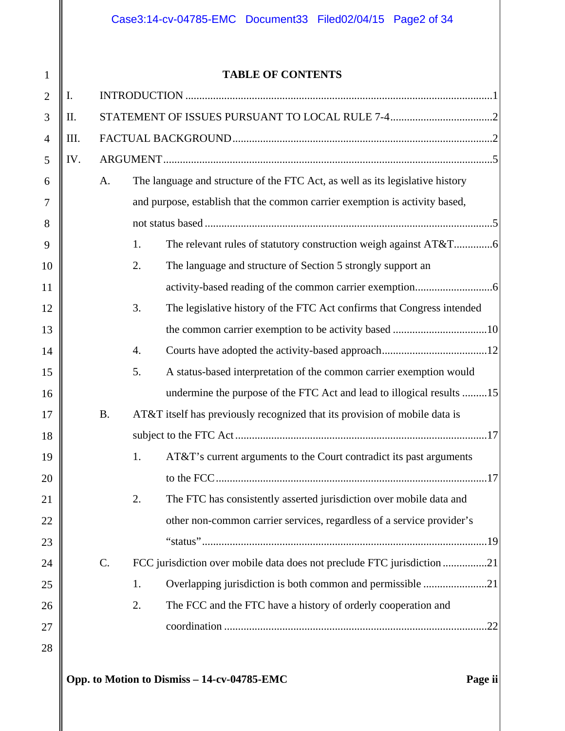## **TABLE OF CONTENTS**

| $\overline{2}$ | I.   |                                                                             |    |                                                                               |
|----------------|------|-----------------------------------------------------------------------------|----|-------------------------------------------------------------------------------|
| 3              | II.  |                                                                             |    |                                                                               |
| $\overline{4}$ | III. |                                                                             |    |                                                                               |
| 5              | IV.  |                                                                             |    |                                                                               |
| 6              |      | A.                                                                          |    | The language and structure of the FTC Act, as well as its legislative history |
| 7              |      | and purpose, establish that the common carrier exemption is activity based, |    |                                                                               |
| 8              |      |                                                                             |    |                                                                               |
| 9              |      |                                                                             | 1. |                                                                               |
| 10             |      |                                                                             | 2. | The language and structure of Section 5 strongly support an                   |
| 11             |      |                                                                             |    |                                                                               |
| 12             |      |                                                                             | 3. | The legislative history of the FTC Act confirms that Congress intended        |
| 13             |      |                                                                             |    |                                                                               |
| 14             |      |                                                                             | 4. |                                                                               |
| 15             |      |                                                                             | 5. | A status-based interpretation of the common carrier exemption would           |
| 16             |      |                                                                             |    | undermine the purpose of the FTC Act and lead to illogical results 15         |
| 17             |      | <b>B.</b>                                                                   |    | AT&T itself has previously recognized that its provision of mobile data is    |
| 18             |      |                                                                             |    |                                                                               |
| 19             |      |                                                                             | 1. | AT&T's current arguments to the Court contradict its past arguments           |
| 20             |      |                                                                             |    |                                                                               |
| 21             |      |                                                                             |    | The FTC has consistently asserted jurisdiction over mobile data and           |
| 22             |      |                                                                             |    | other non-common carrier services, regardless of a service provider's         |
| 23             |      |                                                                             |    |                                                                               |
| 24             |      | C.                                                                          |    | FCC jurisdiction over mobile data does not preclude FTC jurisdiction21        |
| 25             |      |                                                                             | 1. |                                                                               |
| 26             |      |                                                                             | 2. | The FCC and the FTC have a history of orderly cooperation and                 |
| 27             |      |                                                                             |    |                                                                               |
| 28             |      |                                                                             |    |                                                                               |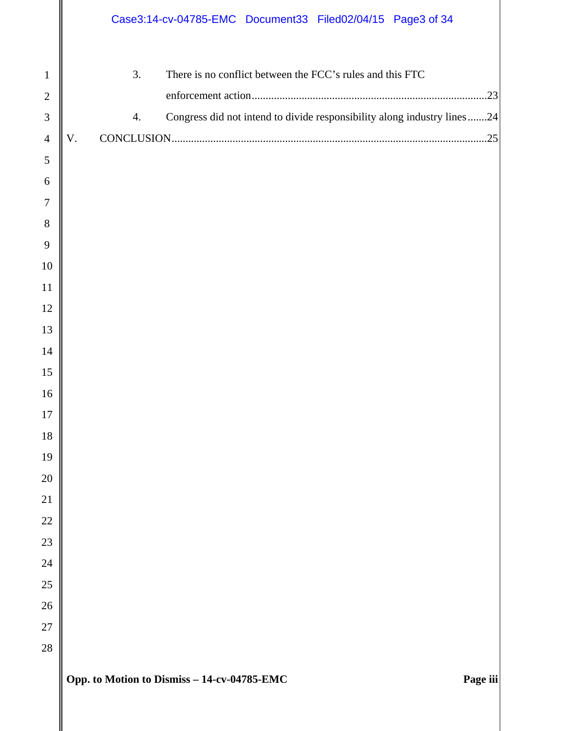|                | Case3:14-cv-04785-EMC Document33 Filed02/04/15 Page3 of 34                     |
|----------------|--------------------------------------------------------------------------------|
| $\mathbf{1}$   | There is no conflict between the FCC's rules and this FTC<br>3.                |
| $\mathbf{2}$   |                                                                                |
| 3              | Congress did not intend to divide responsibility along industry lines 24<br>4. |
| $\overline{4}$ | V.                                                                             |
| $\mathfrak{S}$ |                                                                                |
| 6              |                                                                                |
| 7              |                                                                                |
| 8              |                                                                                |
| 9              |                                                                                |
| 10             |                                                                                |
| 11             |                                                                                |
| 12             |                                                                                |
| 13             |                                                                                |
| 14             |                                                                                |
| 15             |                                                                                |
| 16             |                                                                                |
| $17\,$<br>18   |                                                                                |
| 19             |                                                                                |
| 20             |                                                                                |
| 21             |                                                                                |
| 22             |                                                                                |
| 23             |                                                                                |
| 24             |                                                                                |
| 25             |                                                                                |
| 26             |                                                                                |
| $27\,$         |                                                                                |
| $28\,$         |                                                                                |
|                | Opp. to Motion to Dismiss - 14-cv-04785-EMC<br>Page iii                        |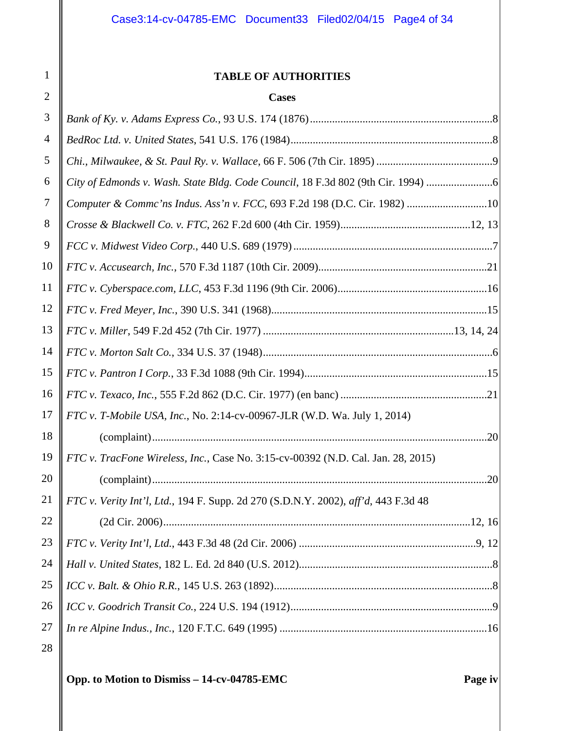### **TABLE OF AUTHORITIES**

#### **Cases**

| 3  |                                                                                    |
|----|------------------------------------------------------------------------------------|
| 4  |                                                                                    |
| 5  |                                                                                    |
| 6  | City of Edmonds v. Wash. State Bldg. Code Council, 18 F.3d 802 (9th Cir. 1994)     |
| 7  | Computer & Commc'ns Indus. Ass'n v. FCC, 693 F.2d 198 (D.C. Cir. 1982) 10          |
| 8  |                                                                                    |
| 9  |                                                                                    |
| 10 |                                                                                    |
| 11 |                                                                                    |
| 12 |                                                                                    |
| 13 |                                                                                    |
| 14 |                                                                                    |
| 15 |                                                                                    |
| 16 |                                                                                    |
| 17 | FTC v. T-Mobile USA, Inc., No. 2:14-cv-00967-JLR (W.D. Wa. July 1, 2014)           |
| 18 |                                                                                    |
| 19 | FTC v. TracFone Wireless, Inc., Case No. 3:15-cv-00392 (N.D. Cal. Jan. 28, 2015)   |
| 20 |                                                                                    |
| 21 | FTC v. Verity Int'l, Ltd., 194 F. Supp. 2d 270 (S.D.N.Y. 2002), aff'd, 443 F.3d 48 |
| 22 |                                                                                    |
| 23 |                                                                                    |
| 24 |                                                                                    |
| 25 |                                                                                    |
| 26 |                                                                                    |
| 27 |                                                                                    |
|    |                                                                                    |

1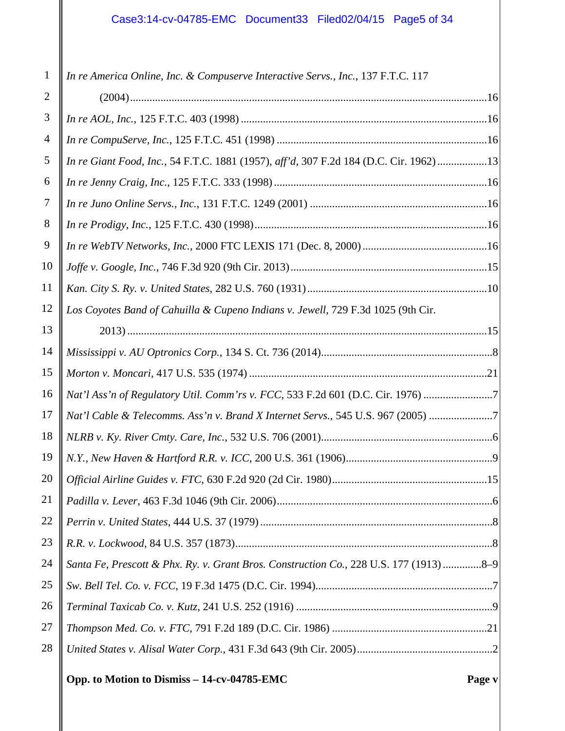# Case3:14-cv-04785-EMC Document33 Filed02/04/15 Page5 of 34

| 1              | In re America Online, Inc. & Compuserve Interactive Servs., Inc., 137 F.T.C. 117       |
|----------------|----------------------------------------------------------------------------------------|
| $\overline{2}$ |                                                                                        |
| 3              |                                                                                        |
| $\overline{4}$ |                                                                                        |
| 5              | In re Giant Food, Inc., 54 F.T.C. 1881 (1957), aff'd, 307 F.2d 184 (D.C. Cir. 1962) 13 |
| 6              |                                                                                        |
| 7              |                                                                                        |
| 8              |                                                                                        |
| 9              |                                                                                        |
| 10             |                                                                                        |
| 11             |                                                                                        |
| 12             | Los Coyotes Band of Cahuilla & Cupeno Indians v. Jewell, 729 F.3d 1025 (9th Cir.       |
| 13             |                                                                                        |
| 14             |                                                                                        |
| 15             |                                                                                        |
| 16             | Nat'l Ass'n of Regulatory Util. Comm'rs v. FCC, 533 F.2d 601 (D.C. Cir. 1976) 7        |
| 17             | Nat'l Cable & Telecomms. Ass'n v. Brand X Internet Servs., 545 U.S. 967 (2005) 7       |
| 18             |                                                                                        |
| 19             |                                                                                        |
| 20             |                                                                                        |
| 21             |                                                                                        |
| 22             |                                                                                        |
| 23             |                                                                                        |
| 24             | Santa Fe, Prescott & Phx. Ry. v. Grant Bros. Construction Co., 228 U.S. 177 (1913)8-9  |
| 25             |                                                                                        |
| 26             |                                                                                        |
| 27             |                                                                                        |
| 28             |                                                                                        |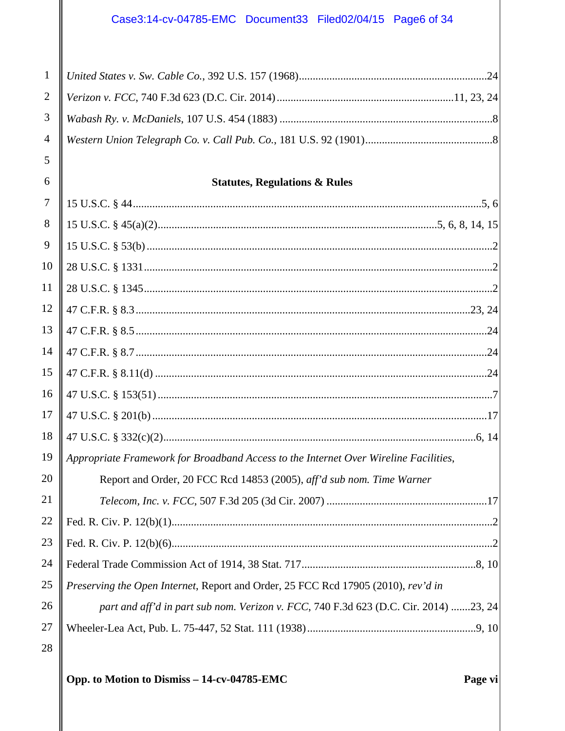## Case3:14-cv-04785-EMC Document33 Filed02/04/15 Page6 of 34

# **Statutes, Regulations & Rules**

| 7  |                                                                                      |
|----|--------------------------------------------------------------------------------------|
| 8  |                                                                                      |
| 9  |                                                                                      |
| 10 |                                                                                      |
| 11 |                                                                                      |
| 12 |                                                                                      |
| 13 |                                                                                      |
| 14 |                                                                                      |
| 15 |                                                                                      |
| 16 |                                                                                      |
| 17 |                                                                                      |
| 18 |                                                                                      |
| 19 | Appropriate Framework for Broadband Access to the Internet Over Wireline Facilities, |
| 20 | Report and Order, 20 FCC Rcd 14853 (2005), aff'd sub nom. Time Warner                |
| 21 |                                                                                      |
| 22 |                                                                                      |
| 23 |                                                                                      |
| 24 |                                                                                      |
| 25 | Preserving the Open Internet, Report and Order, 25 FCC Rcd 17905 (2010), rev'd in    |
| 26 | part and aff'd in part sub nom. Verizon v. FCC, 740 F.3d 623 (D.C. Cir. 2014) 23, 24 |
| 27 |                                                                                      |
| 28 |                                                                                      |

5

 $\sqrt{6}$ 

Page vi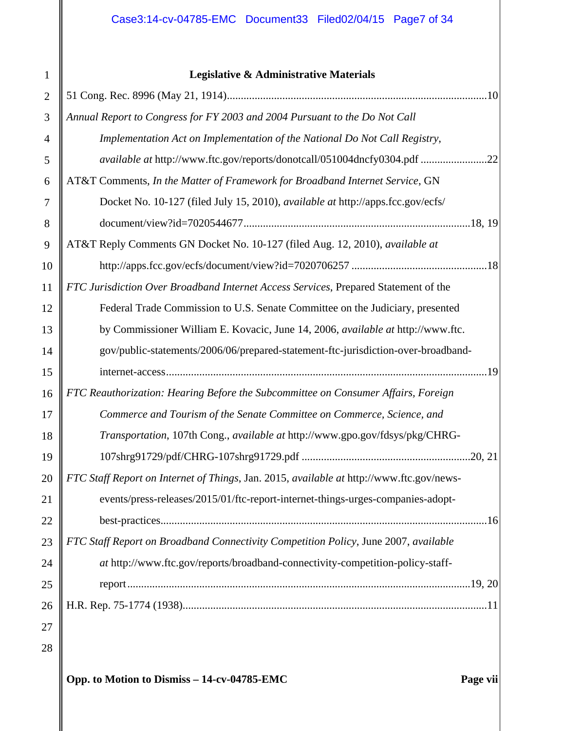| $\overline{2}$ |                                                                                          |  |
|----------------|------------------------------------------------------------------------------------------|--|
| 3              | Annual Report to Congress for FY 2003 and 2004 Pursuant to the Do Not Call               |  |
| $\overline{4}$ | Implementation Act on Implementation of the National Do Not Call Registry,               |  |
| 5              | available at http://www.ftc.gov/reports/donotcall/051004dncfy0304.pdf 22                 |  |
| 6              | AT&T Comments, In the Matter of Framework for Broadband Internet Service, GN             |  |
| 7              | Docket No. 10-127 (filed July 15, 2010), available at http://apps.fcc.gov/ecfs/          |  |
| 8              |                                                                                          |  |
| 9              | AT&T Reply Comments GN Docket No. 10-127 (filed Aug. 12, 2010), available at             |  |
| 10             |                                                                                          |  |
| 11             | FTC Jurisdiction Over Broadband Internet Access Services, Prepared Statement of the      |  |
| 12             | Federal Trade Commission to U.S. Senate Committee on the Judiciary, presented            |  |
| 13             | by Commissioner William E. Kovacic, June 14, 2006, available at http://www.ftc.          |  |
| 14             | gov/public-statements/2006/06/prepared-statement-ftc-jurisdiction-over-broadband-        |  |
| 15             |                                                                                          |  |
| 16             | FTC Reauthorization: Hearing Before the Subcommittee on Consumer Affairs, Foreign        |  |
| 17             | Commerce and Tourism of the Senate Committee on Commerce, Science, and                   |  |
| 18             | Transportation, 107th Cong., available at http://www.gpo.gov/fdsys/pkg/CHRG-             |  |
| 19             |                                                                                          |  |
| 20             | FTC Staff Report on Internet of Things, Jan. 2015, available at http://www.ftc.gov/news- |  |
| 21             | events/press-releases/2015/01/ftc-report-internet-things-urges-companies-adopt-          |  |
| 22             |                                                                                          |  |
| 23             | FTC Staff Report on Broadband Connectivity Competition Policy, June 2007, available      |  |
| 24             | at http://www.ftc.gov/reports/broadband-connectivity-competition-policy-staff-           |  |
| 25             |                                                                                          |  |
| 26             |                                                                                          |  |
| 27             |                                                                                          |  |
| 28             |                                                                                          |  |
|                | Opp. to Motion to Dismiss - 14-cv-04785-EMC<br>Page vii                                  |  |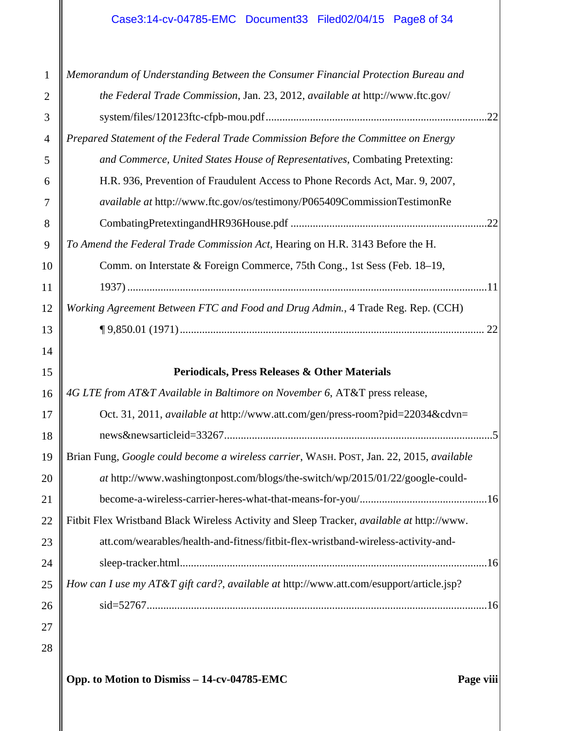# Case3:14-cv-04785-EMC Document33 Filed02/04/15 Page8 of 34

| $\mathbf{1}$   | Memorandum of Understanding Between the Consumer Financial Protection Bureau and          |  |  |
|----------------|-------------------------------------------------------------------------------------------|--|--|
| $\overline{2}$ | the Federal Trade Commission, Jan. 23, 2012, available at http://www.ftc.gov/             |  |  |
| 3              |                                                                                           |  |  |
| $\overline{4}$ | Prepared Statement of the Federal Trade Commission Before the Committee on Energy         |  |  |
| 5              | and Commerce, United States House of Representatives, Combating Pretexting:               |  |  |
| 6              | H.R. 936, Prevention of Fraudulent Access to Phone Records Act, Mar. 9, 2007,             |  |  |
| 7              | available at http://www.ftc.gov/os/testimony/P065409CommissionTestimonRe                  |  |  |
| 8              |                                                                                           |  |  |
| 9              | To Amend the Federal Trade Commission Act, Hearing on H.R. 3143 Before the H.             |  |  |
| 10             | Comm. on Interstate & Foreign Commerce, 75th Cong., 1st Sess (Feb. 18–19,                 |  |  |
| 11             |                                                                                           |  |  |
| 12             | Working Agreement Between FTC and Food and Drug Admin., 4 Trade Reg. Rep. (CCH)           |  |  |
| 13             |                                                                                           |  |  |
| 14             |                                                                                           |  |  |
| 15             | Periodicals, Press Releases & Other Materials                                             |  |  |
| 16             | 4G LTE from AT&T Available in Baltimore on November 6, AT&T press release,                |  |  |
|                |                                                                                           |  |  |
| 17             | Oct. 31, 2011, available at http://www.att.com/gen/press-room?pid=22034&cdvn=             |  |  |
| 18             |                                                                                           |  |  |
| 19             | Brian Fung, Google could become a wireless carrier, WASH. POST, Jan. 22, 2015, available  |  |  |
| 20             | at http://www.washingtonpost.com/blogs/the-switch/wp/2015/01/22/google-could-             |  |  |
| 21             |                                                                                           |  |  |
| 22             | Fitbit Flex Wristband Black Wireless Activity and Sleep Tracker, available at http://www. |  |  |
| 23             | att.com/wearables/health-and-fitness/fitbit-flex-wristband-wireless-activity-and-         |  |  |
| 24             |                                                                                           |  |  |
| 25             | How can I use my AT&T gift card?, available at http://www.att.com/esupport/article.jsp?   |  |  |
| 26             |                                                                                           |  |  |
| 27             |                                                                                           |  |  |
| 28             |                                                                                           |  |  |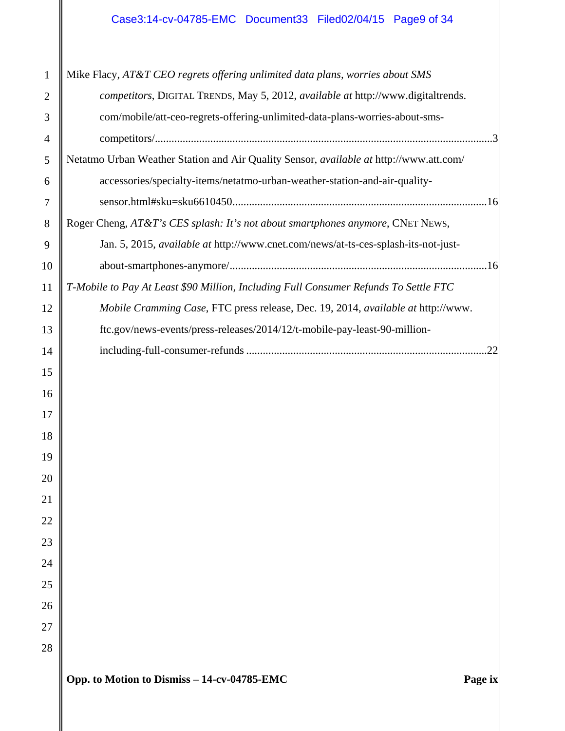# Case3:14-cv-04785-EMC Document33 Filed02/04/15 Page9 of 34

| $\mathbf{1}$   | Mike Flacy, AT&T CEO regrets offering unlimited data plans, worries about SMS          |
|----------------|----------------------------------------------------------------------------------------|
| $\overline{2}$ | competitors, DIGITAL TRENDS, May 5, 2012, available at http://www.digitaltrends.       |
| 3              | com/mobile/att-ceo-regrets-offering-unlimited-data-plans-worries-about-sms-            |
| $\overline{4}$ |                                                                                        |
| 5              | Netatmo Urban Weather Station and Air Quality Sensor, available at http://www.att.com/ |
| 6              | accessories/specialty-items/netatmo-urban-weather-station-and-air-quality-             |
| 7              |                                                                                        |
| 8              | Roger Cheng, AT&T's CES splash: It's not about smartphones anymore, CNET NEWS,         |
| 9              | Jan. 5, 2015, available at http://www.cnet.com/news/at-ts-ces-splash-its-not-just-     |
| 10             |                                                                                        |
| 11             | T-Mobile to Pay At Least \$90 Million, Including Full Consumer Refunds To Settle FTC   |
| 12             | Mobile Cramming Case, FTC press release, Dec. 19, 2014, available at http://www.       |
| 13             | ftc.gov/news-events/press-releases/2014/12/t-mobile-pay-least-90-million-              |
| 14             |                                                                                        |
| 15             |                                                                                        |
| 16             |                                                                                        |
| 17             |                                                                                        |
| 18             |                                                                                        |
| 19             |                                                                                        |
| 20             |                                                                                        |
| 21             |                                                                                        |
| 22             |                                                                                        |
| 23             |                                                                                        |
| 24             |                                                                                        |
| 25             |                                                                                        |
| 26             |                                                                                        |
| 27             |                                                                                        |
| 28             |                                                                                        |
|                | Opp. to Motion to Dismiss - 14-cv-04785-EMC<br>Page ix                                 |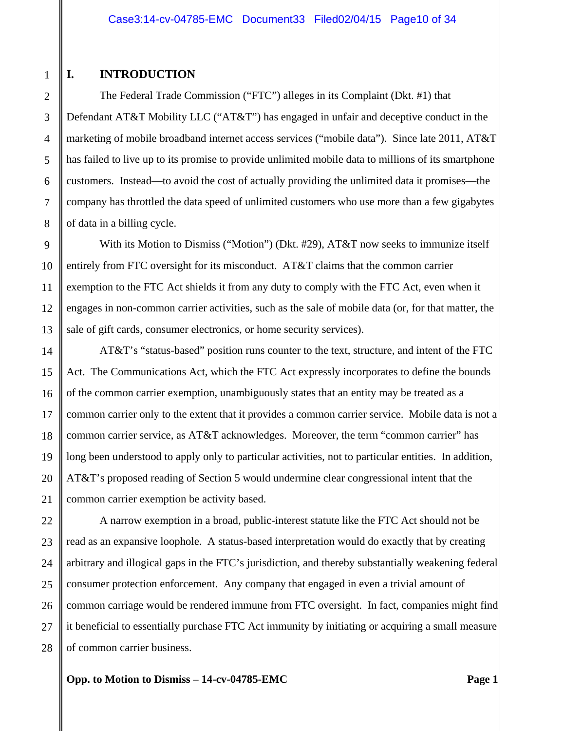## **I. INTRODUCTION**

The Federal Trade Commission ("FTC") alleges in its Complaint (Dkt. #1) that Defendant AT&T Mobility LLC ("AT&T") has engaged in unfair and deceptive conduct in the marketing of mobile broadband internet access services ("mobile data"). Since late 2011, AT&T has failed to live up to its promise to provide unlimited mobile data to millions of its smartphone customers. Instead—to avoid the cost of actually providing the unlimited data it promises—the company has throttled the data speed of unlimited customers who use more than a few gigabytes of data in a billing cycle.

With its Motion to Dismiss ("Motion") (Dkt. #29), AT&T now seeks to immunize itself entirely from FTC oversight for its misconduct. AT&T claims that the common carrier exemption to the FTC Act shields it from any duty to comply with the FTC Act, even when it engages in non-common carrier activities, such as the sale of mobile data (or, for that matter, the sale of gift cards, consumer electronics, or home security services).

AT&T's "status-based" position runs counter to the text, structure, and intent of the FTC Act. The Communications Act, which the FTC Act expressly incorporates to define the bounds of the common carrier exemption, unambiguously states that an entity may be treated as a common carrier only to the extent that it provides a common carrier service. Mobile data is not a common carrier service, as AT&T acknowledges. Moreover, the term "common carrier" has long been understood to apply only to particular activities, not to particular entities. In addition, AT&T's proposed reading of Section 5 would undermine clear congressional intent that the common carrier exemption be activity based.

A narrow exemption in a broad, public-interest statute like the FTC Act should not be read as an expansive loophole. A status-based interpretation would do exactly that by creating arbitrary and illogical gaps in the FTC's jurisdiction, and thereby substantially weakening federal consumer protection enforcement. Any company that engaged in even a trivial amount of common carriage would be rendered immune from FTC oversight. In fact, companies might find it beneficial to essentially purchase FTC Act immunity by initiating or acquiring a small measure of common carrier business.

### **Opp. to Motion to Dismiss – 14-cv-04785-EMC Page 1**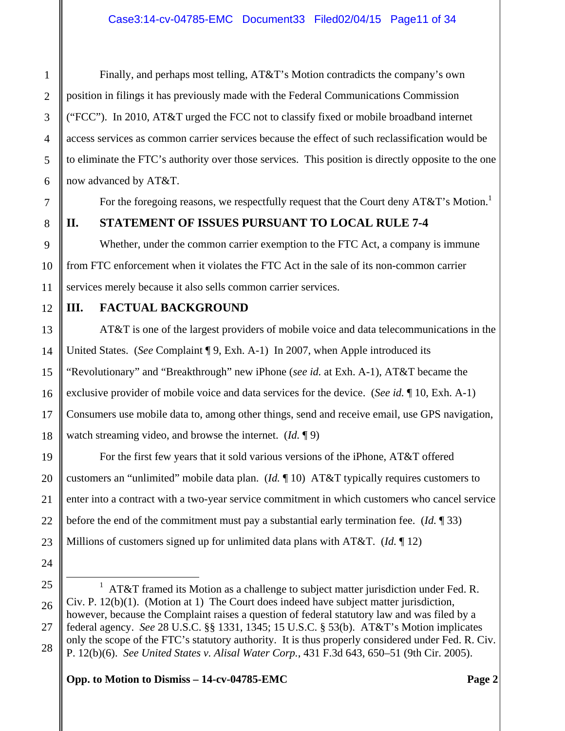Finally, and perhaps most telling, AT&T's Motion contradicts the company's own position in filings it has previously made with the Federal Communications Commission ("FCC"). In 2010, AT&T urged the FCC not to classify fixed or mobile broadband internet access services as common carrier services because the effect of such reclassification would be to eliminate the FTC's authority over those services. This position is directly opposite to the one now advanced by AT&T.

For the foregoing reasons, we respectfully request that the Court deny AT&T's Motion.<sup>1</sup>

# **II. STATEMENT OF ISSUES PURSUANT TO LOCAL RULE 7-4**

Whether, under the common carrier exemption to the FTC Act, a company is immune from FTC enforcement when it violates the FTC Act in the sale of its non-common carrier services merely because it also sells common carrier services.

# **III. FACTUAL BACKGROUND**

AT&T is one of the largest providers of mobile voice and data telecommunications in the United States. (*See* Complaint ¶ 9, Exh. A-1) In 2007, when Apple introduced its "Revolutionary" and "Breakthrough" new iPhone (*see id.* at Exh. A-1), AT&T became the exclusive provider of mobile voice and data services for the device. (*See id.* ¶ 10, Exh. A-1) Consumers use mobile data to, among other things, send and receive email, use GPS navigation, watch streaming video, and browse the internet. (*Id.* ¶ 9)

For the first few years that it sold various versions of the iPhone, AT&T offered customers an "unlimited" mobile data plan. (*Id.* ¶ 10) AT&T typically requires customers to enter into a contract with a two-year service commitment in which customers who cancel service before the end of the commitment must pay a substantial early termination fee. (*Id.* ¶ 33) Millions of customers signed up for unlimited data plans with AT&T. (*Id.* ¶ 12)

**Opp. to Motion to Dismiss – 14-cv-04785-EMC Page 2** 

1

2

3

<sup>&</sup>lt;u>1</u>  $1$  AT&T framed its Motion as a challenge to subject matter jurisdiction under Fed. R. Civ. P. 12(b)(1). (Motion at 1) The Court does indeed have subject matter jurisdiction, however, because the Complaint raises a question of federal statutory law and was filed by a federal agency. *See* 28 U.S.C. §§ 1331, 1345; 15 U.S.C. § 53(b). AT&T's Motion implicates only the scope of the FTC's statutory authority. It is thus properly considered under Fed. R. Civ. P. 12(b)(6). *See United States v. Alisal Water Corp.*, 431 F.3d 643, 650–51 (9th Cir. 2005).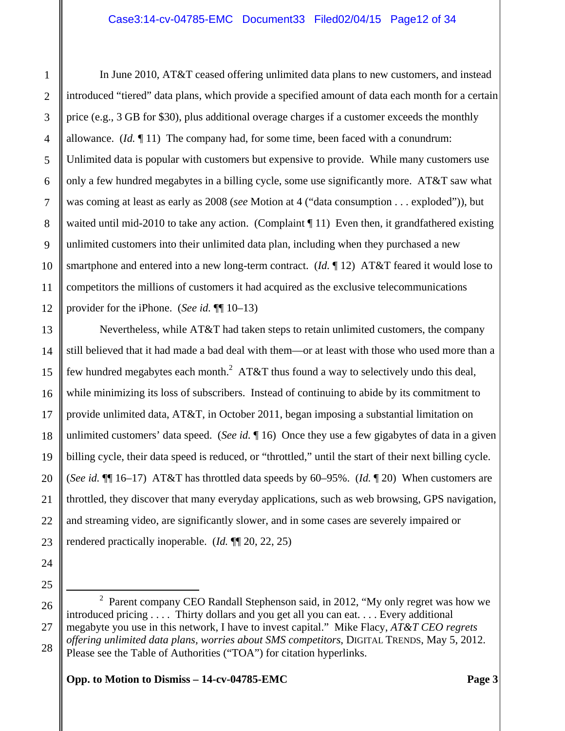In June 2010, AT&T ceased offering unlimited data plans to new customers, and instead introduced "tiered" data plans, which provide a specified amount of data each month for a certain price (e.g., 3 GB for \$30), plus additional overage charges if a customer exceeds the monthly allowance. (*Id.* ¶ 11) The company had, for some time, been faced with a conundrum: Unlimited data is popular with customers but expensive to provide. While many customers use only a few hundred megabytes in a billing cycle, some use significantly more. AT&T saw what was coming at least as early as 2008 (*see* Motion at 4 ("data consumption . . . exploded")), but waited until mid-2010 to take any action. (Complaint ¶ 11) Even then, it grandfathered existing unlimited customers into their unlimited data plan, including when they purchased a new smartphone and entered into a new long-term contract. (*Id.* ¶ 12) AT&T feared it would lose to competitors the millions of customers it had acquired as the exclusive telecommunications provider for the iPhone. (*See id.* ¶¶ 10–13)

Nevertheless, while AT&T had taken steps to retain unlimited customers, the company still believed that it had made a bad deal with them—or at least with those who used more than a few hundred megabytes each month.<sup>2</sup> AT&T thus found a way to selectively undo this deal, while minimizing its loss of subscribers. Instead of continuing to abide by its commitment to provide unlimited data, AT&T, in October 2011, began imposing a substantial limitation on unlimited customers' data speed. (*See id.* ¶ 16) Once they use a few gigabytes of data in a given billing cycle, their data speed is reduced, or "throttled," until the start of their next billing cycle. (*See id.* ¶¶ 16–17) AT&T has throttled data speeds by 60–95%. (*Id.* ¶ 20) When customers are throttled, they discover that many everyday applications, such as web browsing, GPS navigation, and streaming video, are significantly slower, and in some cases are severely impaired or rendered practically inoperable. (*Id.* ¶¶ 20, 22, 25)

 24 25

26

27

28

1

2

3

4

5

6

7

8

9

10

11

12

13

14

15

16

17

18

19

20

21

22

23

 $\overline{\phantom{a}}$  2  $2$  Parent company CEO Randall Stephenson said, in 2012, "My only regret was how we introduced pricing . . . . Thirty dollars and you get all you can eat. . . . Every additional megabyte you use in this network, I have to invest capital." Mike Flacy, *AT&T CEO regrets offering unlimited data plans, worries about SMS competitors*, DIGITAL TRENDS, May 5, 2012. Please see the Table of Authorities ("TOA") for citation hyperlinks.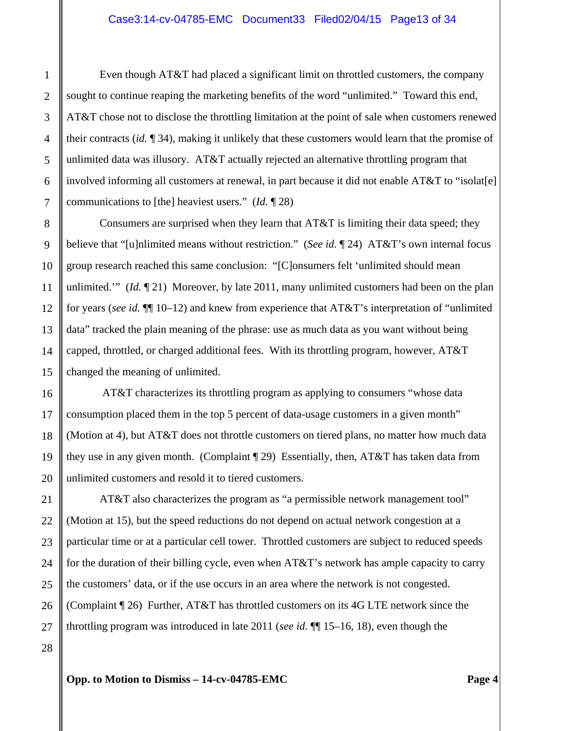#### Case3:14-cv-04785-EMC Document33 Filed02/04/15 Page13 of 34

Even though AT&T had placed a significant limit on throttled customers, the company sought to continue reaping the marketing benefits of the word "unlimited." Toward this end, AT&T chose not to disclose the throttling limitation at the point of sale when customers renewed their contracts (*id.* ¶ 34), making it unlikely that these customers would learn that the promise of unlimited data was illusory. AT&T actually rejected an alternative throttling program that involved informing all customers at renewal, in part because it did not enable AT&T to "isolat[e] communications to [the] heaviest users." (*Id.* ¶ 28)

Consumers are surprised when they learn that AT&T is limiting their data speed; they believe that "[u]nlimited means without restriction." (*See id.* ¶ 24) AT&T's own internal focus group research reached this same conclusion: "[C]onsumers felt 'unlimited should mean unlimited.'" (*Id.* ¶ 21) Moreover, by late 2011, many unlimited customers had been on the plan for years (*see id.* ¶¶ 10–12) and knew from experience that AT&T's interpretation of "unlimited data" tracked the plain meaning of the phrase: use as much data as you want without being capped, throttled, or charged additional fees. With its throttling program, however, AT&T changed the meaning of unlimited.

 AT&T characterizes its throttling program as applying to consumers "whose data consumption placed them in the top 5 percent of data-usage customers in a given month" (Motion at 4), but AT&T does not throttle customers on tiered plans, no matter how much data they use in any given month. (Complaint ¶ 29) Essentially, then, AT&T has taken data from unlimited customers and resold it to tiered customers.

AT&T also characterizes the program as "a permissible network management tool" (Motion at 15), but the speed reductions do not depend on actual network congestion at a particular time or at a particular cell tower. Throttled customers are subject to reduced speeds for the duration of their billing cycle, even when AT&T's network has ample capacity to carry the customers' data, or if the use occurs in an area where the network is not congested. (Complaint ¶ 26) Further, AT&T has throttled customers on its 4G LTE network since the throttling program was introduced in late 2011 (*see id.* ¶¶ 15–16, 18), even though the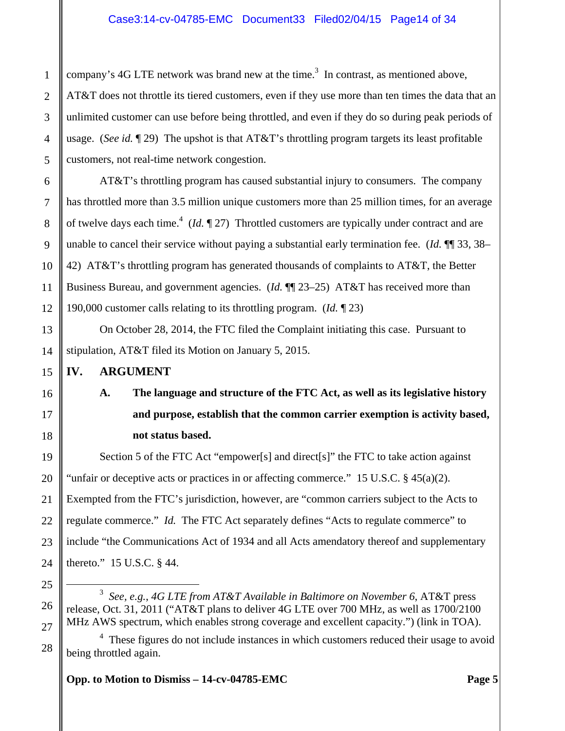company's 4G LTE network was brand new at the time.<sup>3</sup> In contrast, as mentioned above,

AT&T does not throttle its tiered customers, even if they use more than ten times the data that an unlimited customer can use before being throttled, and even if they do so during peak periods of usage. (*See id.* ¶ 29) The upshot is that AT&T's throttling program targets its least profitable customers, not real-time network congestion.

AT&T's throttling program has caused substantial injury to consumers. The company has throttled more than 3.5 million unique customers more than 25 million times, for an average of twelve days each time.<sup>4</sup> (*Id.* 127) Throttled customers are typically under contract and are unable to cancel their service without paying a substantial early termination fee. (*Id.* ¶ 33, 38– 42) AT&T's throttling program has generated thousands of complaints to AT&T, the Better Business Bureau, and government agencies. (*Id.* ¶¶ 23–25) AT&T has received more than 190,000 customer calls relating to its throttling program. (*Id.* ¶ 23)

 On October 28, 2014, the FTC filed the Complaint initiating this case. Pursuant to stipulation, AT&T filed its Motion on January 5, 2015.

### **IV. ARGUMENT**

# **A. The language and structure of the FTC Act, as well as its legislative history and purpose, establish that the common carrier exemption is activity based, not status based.**

Section 5 of the FTC Act "empower[s] and direct[s]" the FTC to take action against "unfair or deceptive acts or practices in or affecting commerce." 15 U.S.C.  $\S$  45(a)(2). Exempted from the FTC's jurisdiction, however, are "common carriers subject to the Acts to regulate commerce." *Id.* The FTC Act separately defines "Acts to regulate commerce" to include "the Communications Act of 1934 and all Acts amendatory thereof and supplementary thereto." 15 U.S.C. § 44.

- $\frac{1}{3}$  *See, e.g.*, *4G LTE from AT&T Available in Baltimore on November 6*, AT&T press release, Oct. 31, 2011 ("AT&T plans to deliver 4G LTE over 700 MHz, as well as 1700/2100 MHz AWS spectrum, which enables strong coverage and excellent capacity.") (link in TOA).
- <sup>4</sup> These figures do not include instances in which customers reduced their usage to avoid being throttled again.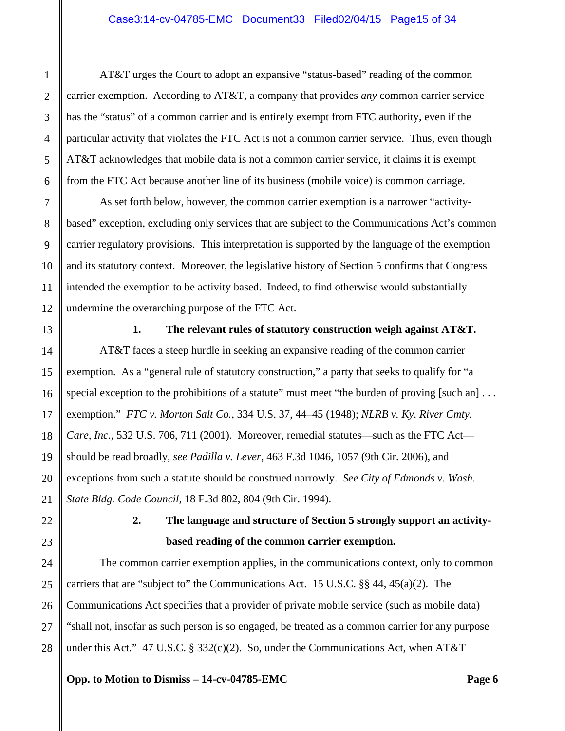### Case3:14-cv-04785-EMC Document33 Filed02/04/15 Page15 of 34

AT&T urges the Court to adopt an expansive "status-based" reading of the common carrier exemption. According to AT&T, a company that provides *any* common carrier service has the "status" of a common carrier and is entirely exempt from FTC authority, even if the particular activity that violates the FTC Act is not a common carrier service. Thus, even though AT&T acknowledges that mobile data is not a common carrier service, it claims it is exempt from the FTC Act because another line of its business (mobile voice) is common carriage.

As set forth below, however, the common carrier exemption is a narrower "activitybased" exception, excluding only services that are subject to the Communications Act's common carrier regulatory provisions. This interpretation is supported by the language of the exemption and its statutory context. Moreover, the legislative history of Section 5 confirms that Congress intended the exemption to be activity based. Indeed, to find otherwise would substantially undermine the overarching purpose of the FTC Act.

**1. The relevant rules of statutory construction weigh against AT&T.**  AT&T faces a steep hurdle in seeking an expansive reading of the common carrier exemption. As a "general rule of statutory construction," a party that seeks to qualify for "a special exception to the prohibitions of a statute" must meet "the burden of proving [such an] ... exemption." *FTC v. Morton Salt Co.*, 334 U.S. 37, 44–45 (1948); *NLRB v. Ky. River Cmty. Care, Inc.*, 532 U.S. 706, 711 (2001). Moreover, remedial statutes—such as the FTC Act should be read broadly, *see Padilla v. Lever*, 463 F.3d 1046, 1057 (9th Cir. 2006), and exceptions from such a statute should be construed narrowly. *See City of Edmonds v. Wash. State Bldg. Code Council*, 18 F.3d 802, 804 (9th Cir. 1994).

26

27

28

1

2

3

4

5

6

7

8

9

10

11

12

13

14

15

16

17

18

19

20

# **2. The language and structure of Section 5 strongly support an activitybased reading of the common carrier exemption.**

The common carrier exemption applies, in the communications context, only to common carriers that are "subject to" the Communications Act. 15 U.S.C. §§ 44, 45(a)(2). The Communications Act specifies that a provider of private mobile service (such as mobile data) "shall not, insofar as such person is so engaged, be treated as a common carrier for any purpose under this Act." 47 U.S.C. § 332(c)(2). So, under the Communications Act, when AT&T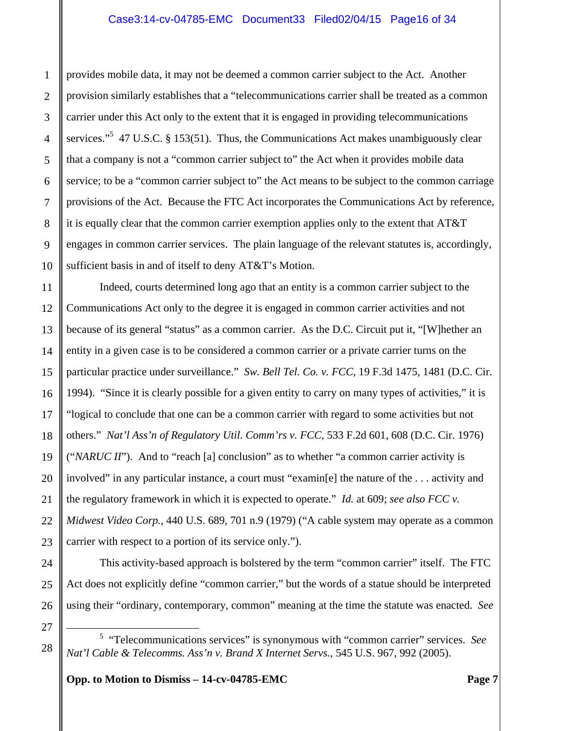### Case3:14-cv-04785-EMC Document33 Filed02/04/15 Page16 of 34

provides mobile data, it may not be deemed a common carrier subject to the Act. Another provision similarly establishes that a "telecommunications carrier shall be treated as a common carrier under this Act only to the extent that it is engaged in providing telecommunications services."<sup>5</sup> 47 U.S.C. § 153(51). Thus, the Communications Act makes unambiguously clear that a company is not a "common carrier subject to" the Act when it provides mobile data service; to be a "common carrier subject to" the Act means to be subject to the common carriage provisions of the Act. Because the FTC Act incorporates the Communications Act by reference, it is equally clear that the common carrier exemption applies only to the extent that AT&T engages in common carrier services. The plain language of the relevant statutes is, accordingly, sufficient basis in and of itself to deny AT&T's Motion.

Indeed, courts determined long ago that an entity is a common carrier subject to the Communications Act only to the degree it is engaged in common carrier activities and not because of its general "status" as a common carrier. As the D.C. Circuit put it, "[W]hether an entity in a given case is to be considered a common carrier or a private carrier turns on the particular practice under surveillance." *Sw. Bell Tel. Co. v. FCC*, 19 F.3d 1475, 1481 (D.C. Cir. 1994). "Since it is clearly possible for a given entity to carry on many types of activities," it is "logical to conclude that one can be a common carrier with regard to some activities but not others." *Nat'l Ass'n of Regulatory Util. Comm'rs v. FCC*, 533 F.2d 601, 608 (D.C. Cir. 1976) ("*NARUC II*"). And to "reach [a] conclusion" as to whether "a common carrier activity is involved" in any particular instance, a court must "examin[e] the nature of the . . . activity and the regulatory framework in which it is expected to operate." *Id.* at 609; *see also FCC v. Midwest Video Corp.*, 440 U.S. 689, 701 n.9 (1979) ("A cable system may operate as a common carrier with respect to a portion of its service only.").

This activity-based approach is bolstered by the term "common carrier" itself. The FTC Act does not explicitly define "common carrier," but the words of a statue should be interpreted using their "ordinary, contemporary, common" meaning at the time the statute was enacted. *See*

 $\frac{1}{5}$ <sup>5</sup> "Telecommunications services" is synonymous with "common carrier" services. See *Nat'l Cable & Telecomms. Ass'n v. Brand X Internet Servs.*, 545 U.S. 967, 992 (2005).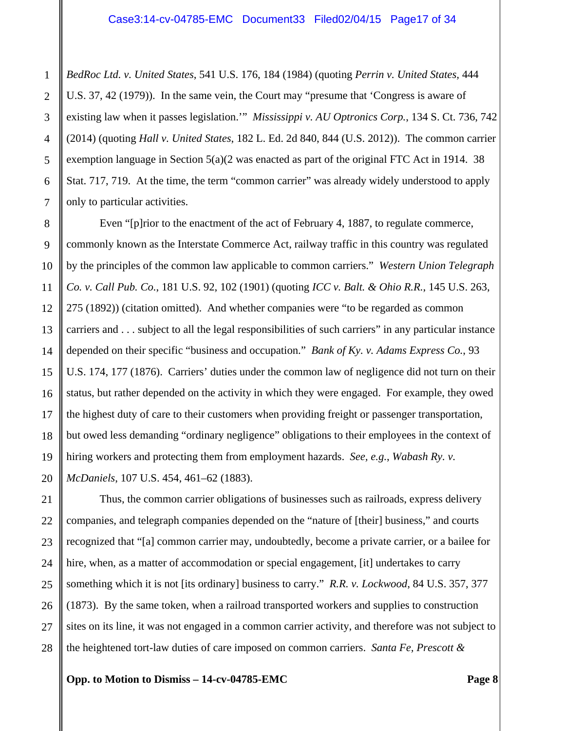*BedRoc Ltd. v. United States*, 541 U.S. 176, 184 (1984) (quoting *Perrin v. United States,* 444 U.S. 37, 42 (1979)). In the same vein, the Court may "presume that 'Congress is aware of existing law when it passes legislation.'" *Mississippi v. AU Optronics Corp.*, 134 S. Ct. 736, 742 (2014) (quoting *Hall v. United States*, 182 L. Ed. 2d 840, 844 (U.S. 2012)). The common carrier exemption language in Section 5(a)(2 was enacted as part of the original FTC Act in 1914. 38 Stat. 717, 719. At the time, the term "common carrier" was already widely understood to apply only to particular activities.

Even "[p]rior to the enactment of the act of February 4, 1887, to regulate commerce, commonly known as the Interstate Commerce Act, railway traffic in this country was regulated by the principles of the common law applicable to common carriers." *Western Union Telegraph Co. v. Call Pub. Co.*, 181 U.S. 92, 102 (1901) (quoting *ICC v. Balt. & Ohio R.R.*, 145 U.S. 263, 275 (1892)) (citation omitted). And whether companies were "to be regarded as common carriers and . . . subject to all the legal responsibilities of such carriers" in any particular instance depended on their specific "business and occupation." *Bank of Ky. v. Adams Express Co.*, 93 U.S. 174, 177 (1876). Carriers' duties under the common law of negligence did not turn on their status, but rather depended on the activity in which they were engaged. For example, they owed the highest duty of care to their customers when providing freight or passenger transportation, but owed less demanding "ordinary negligence" obligations to their employees in the context of hiring workers and protecting them from employment hazards. *See, e.g.*, *Wabash Ry. v. McDaniels*, 107 U.S. 454, 461–62 (1883).

Thus, the common carrier obligations of businesses such as railroads, express delivery companies, and telegraph companies depended on the "nature of [their] business," and courts recognized that "[a] common carrier may, undoubtedly, become a private carrier, or a bailee for hire, when, as a matter of accommodation or special engagement, [it] undertakes to carry something which it is not [its ordinary] business to carry." *R.R. v. Lockwood*, 84 U.S. 357, 377 (1873). By the same token, when a railroad transported workers and supplies to construction sites on its line, it was not engaged in a common carrier activity, and therefore was not subject to the heightened tort-law duties of care imposed on common carriers. *Santa Fe, Prescott &*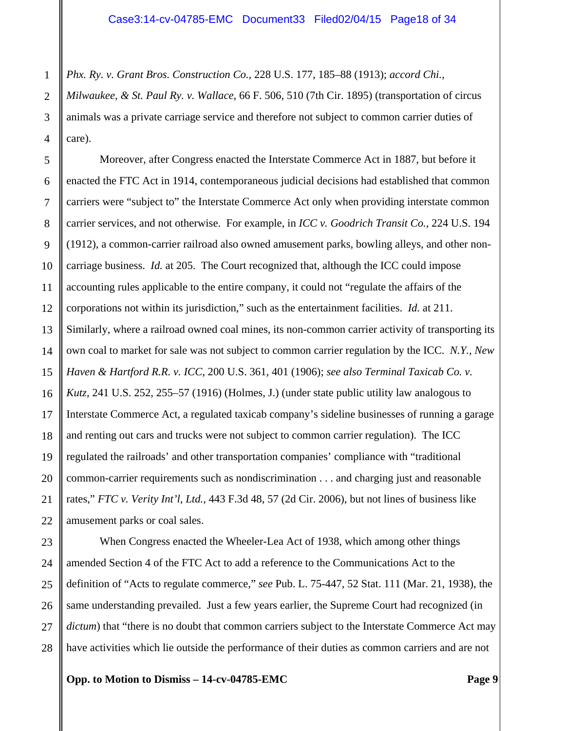*Phx. Ry. v. Grant Bros. Construction Co.*, 228 U.S. 177, 185–88 (1913); *accord Chi., Milwaukee, & St. Paul Ry. v. Wallace*, 66 F. 506, 510 (7th Cir. 1895) (transportation of circus animals was a private carriage service and therefore not subject to common carrier duties of care).

Moreover, after Congress enacted the Interstate Commerce Act in 1887, but before it enacted the FTC Act in 1914, contemporaneous judicial decisions had established that common carriers were "subject to" the Interstate Commerce Act only when providing interstate common carrier services, and not otherwise. For example, in *ICC v. Goodrich Transit Co.*, 224 U.S. 194 (1912), a common-carrier railroad also owned amusement parks, bowling alleys, and other noncarriage business. *Id.* at 205. The Court recognized that, although the ICC could impose accounting rules applicable to the entire company, it could not "regulate the affairs of the corporations not within its jurisdiction," such as the entertainment facilities. *Id.* at 211. Similarly, where a railroad owned coal mines, its non-common carrier activity of transporting its own coal to market for sale was not subject to common carrier regulation by the ICC. *N.Y., New Haven & Hartford R.R. v. ICC*, 200 U.S. 361, 401 (1906); *see also Terminal Taxicab Co. v. Kutz*, 241 U.S. 252, 255–57 (1916) (Holmes, J.) (under state public utility law analogous to Interstate Commerce Act, a regulated taxicab company's sideline businesses of running a garage and renting out cars and trucks were not subject to common carrier regulation). The ICC regulated the railroads' and other transportation companies' compliance with "traditional common-carrier requirements such as nondiscrimination . . . and charging just and reasonable rates," *FTC v. Verity Int'l, Ltd.*, 443 F.3d 48, 57 (2d Cir. 2006), but not lines of business like amusement parks or coal sales.

When Congress enacted the Wheeler-Lea Act of 1938, which among other things amended Section 4 of the FTC Act to add a reference to the Communications Act to the definition of "Acts to regulate commerce," *see* Pub. L. 75-447, 52 Stat. 111 (Mar. 21, 1938), the same understanding prevailed. Just a few years earlier, the Supreme Court had recognized (in *dictum*) that "there is no doubt that common carriers subject to the Interstate Commerce Act may have activities which lie outside the performance of their duties as common carriers and are not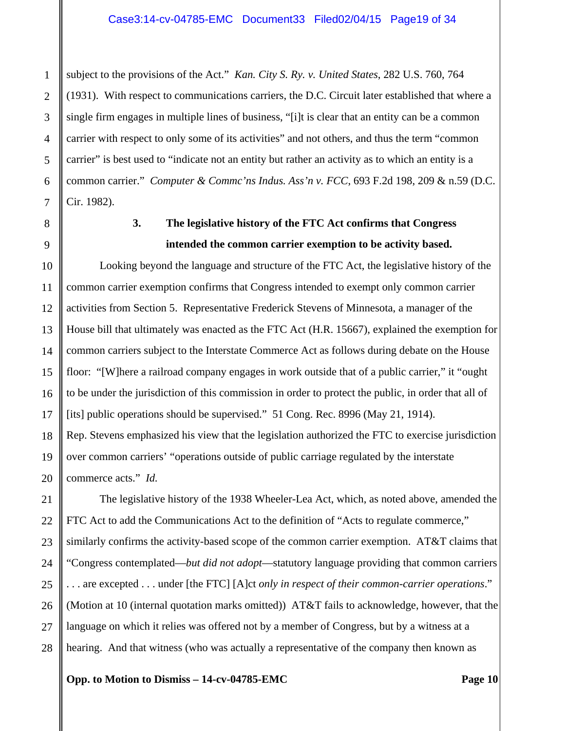#### Case3:14-cv-04785-EMC Document33 Filed02/04/15 Page19 of 34

subject to the provisions of the Act." *Kan. City S. Ry. v. United States*, 282 U.S. 760, 764 (1931). With respect to communications carriers, the D.C. Circuit later established that where a single firm engages in multiple lines of business, "[i]t is clear that an entity can be a common carrier with respect to only some of its activities" and not others, and thus the term "common carrier" is best used to "indicate not an entity but rather an activity as to which an entity is a common carrier." *Computer & Commc'ns Indus. Ass'n v. FCC*, 693 F.2d 198, 209 & n.59 (D.C. Cir. 1982).

# **3. The legislative history of the FTC Act confirms that Congress intended the common carrier exemption to be activity based.**

 Looking beyond the language and structure of the FTC Act, the legislative history of the common carrier exemption confirms that Congress intended to exempt only common carrier activities from Section 5. Representative Frederick Stevens of Minnesota, a manager of the House bill that ultimately was enacted as the FTC Act (H.R. 15667), explained the exemption for common carriers subject to the Interstate Commerce Act as follows during debate on the House floor: "[W]here a railroad company engages in work outside that of a public carrier," it "ought to be under the jurisdiction of this commission in order to protect the public, in order that all of [its] public operations should be supervised." 51 Cong. Rec. 8996 (May 21, 1914). Rep. Stevens emphasized his view that the legislation authorized the FTC to exercise jurisdiction over common carriers' "operations outside of public carriage regulated by the interstate commerce acts." *Id.*

 The legislative history of the 1938 Wheeler-Lea Act, which, as noted above, amended the FTC Act to add the Communications Act to the definition of "Acts to regulate commerce," similarly confirms the activity-based scope of the common carrier exemption. AT&T claims that "Congress contemplated—*but did not adopt*—statutory language providing that common carriers . . . are excepted . . . under [the FTC] [A]ct *only in respect of their common-carrier operations*." (Motion at 10 (internal quotation marks omitted)) AT&T fails to acknowledge, however, that the language on which it relies was offered not by a member of Congress, but by a witness at a hearing. And that witness (who was actually a representative of the company then known as

#### **Opp. to Motion to Dismiss – 14-cv-04785-EMC Page 10 Page 10 Page 10 Page 10 Page 10 Page 10 Page 10 Page 10 Page 10 Page 10 Page 10 Page 10 Page 10 Page 10 Page 10 Page 10 Page 10 Page 10 Page 10 Page 10 Page 10 Page 10 P**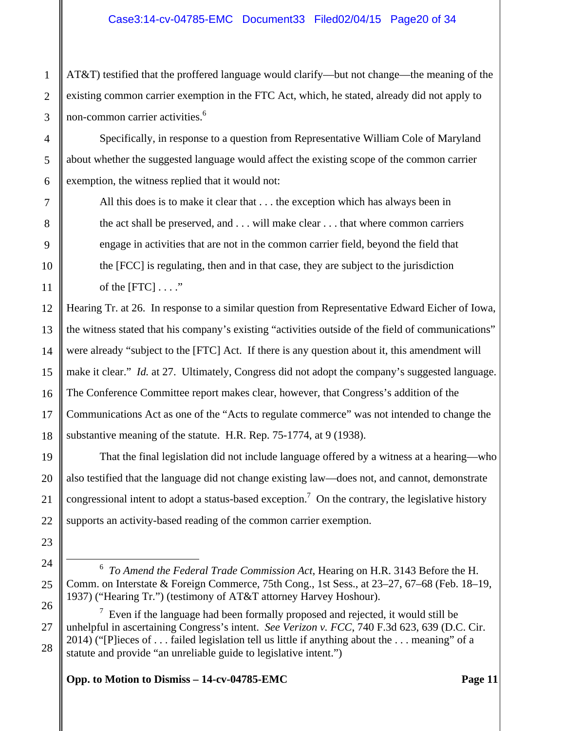AT&T) testified that the proffered language would clarify—but not change—the meaning of the existing common carrier exemption in the FTC Act, which, he stated, already did not apply to non-common carrier activities.<sup>6</sup>

Specifically, in response to a question from Representative William Cole of Maryland about whether the suggested language would affect the existing scope of the common carrier exemption, the witness replied that it would not:

All this does is to make it clear that . . . the exception which has always been in the act shall be preserved, and . . . will make clear . . . that where common carriers engage in activities that are not in the common carrier field, beyond the field that the [FCC] is regulating, then and in that case, they are subject to the jurisdiction of the  $[FTC] \ldots$ ."

Hearing Tr. at 26. In response to a similar question from Representative Edward Eicher of Iowa, the witness stated that his company's existing "activities outside of the field of communications" were already "subject to the [FTC] Act. If there is any question about it, this amendment will make it clear." *Id.* at 27. Ultimately, Congress did not adopt the company's suggested language. The Conference Committee report makes clear, however, that Congress's addition of the Communications Act as one of the "Acts to regulate commerce" was not intended to change the substantive meaning of the statute. H.R. Rep. 75-1774, at 9 (1938).

That the final legislation did not include language offered by a witness at a hearing—who also testified that the language did not change existing law—does not, and cannot, demonstrate congressional intent to adopt a status-based exception.<sup>7</sup> On the contrary, the legislative history supports an activity-based reading of the common carrier exemption.

 6 *To Amend the Federal Trade Commission Act*, Hearing on H.R. 3143 Before the H. Comm. on Interstate & Foreign Commerce, 75th Cong., 1st Sess., at 23–27, 67–68 (Feb. 18–19, 1937) ("Hearing Tr.") (testimony of AT&T attorney Harvey Hoshour).

 $7$  Even if the language had been formally proposed and rejected, it would still be unhelpful in ascertaining Congress's intent. *See Verizon v. FCC*, 740 F.3d 623, 639 (D.C. Cir. 2014) ("[P]ieces of . . . failed legislation tell us little if anything about the . . . meaning" of a statute and provide "an unreliable guide to legislative intent.")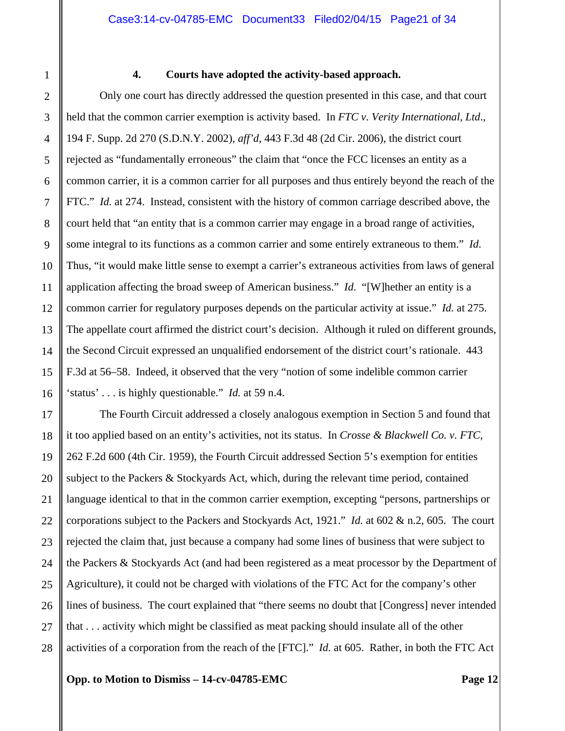#### **4. Courts have adopted the activity-based approach.**

 Only one court has directly addressed the question presented in this case, and that court held that the common carrier exemption is activity based. In *FTC v. Verity International, Ltd*., 194 F. Supp. 2d 270 (S.D.N.Y. 2002), *aff'd*, 443 F.3d 48 (2d Cir. 2006), the district court rejected as "fundamentally erroneous" the claim that "once the FCC licenses an entity as a common carrier, it is a common carrier for all purposes and thus entirely beyond the reach of the FTC." *Id.* at 274. Instead, consistent with the history of common carriage described above, the court held that "an entity that is a common carrier may engage in a broad range of activities, some integral to its functions as a common carrier and some entirely extraneous to them." *Id*. Thus, "it would make little sense to exempt a carrier's extraneous activities from laws of general application affecting the broad sweep of American business." *Id*. "[W]hether an entity is a common carrier for regulatory purposes depends on the particular activity at issue." *Id.* at 275. The appellate court affirmed the district court's decision. Although it ruled on different grounds, the Second Circuit expressed an unqualified endorsement of the district court's rationale. 443 F.3d at 56–58. Indeed, it observed that the very "notion of some indelible common carrier 'status' . . . is highly questionable." *Id.* at 59 n.4.

The Fourth Circuit addressed a closely analogous exemption in Section 5 and found that it too applied based on an entity's activities, not its status. In *Crosse & Blackwell Co. v. FTC*, 262 F.2d 600 (4th Cir. 1959), the Fourth Circuit addressed Section 5's exemption for entities subject to the Packers & Stockyards Act, which, during the relevant time period, contained language identical to that in the common carrier exemption, excepting "persons, partnerships or corporations subject to the Packers and Stockyards Act, 1921." *Id.* at 602 & n.2, 605. The court rejected the claim that, just because a company had some lines of business that were subject to the Packers & Stockyards Act (and had been registered as a meat processor by the Department of Agriculture), it could not be charged with violations of the FTC Act for the company's other lines of business. The court explained that "there seems no doubt that [Congress] never intended that . . . activity which might be classified as meat packing should insulate all of the other activities of a corporation from the reach of the [FTC]." *Id.* at 605. Rather, in both the FTC Act

**Opp. to Motion to Dismiss – 14-cv-04785-EMC Page 12** 

1

2

3

4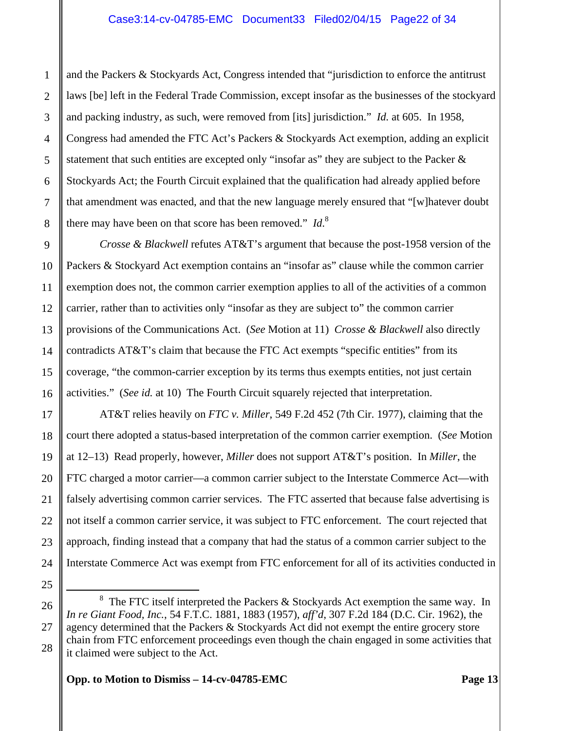### Case3:14-cv-04785-EMC Document33 Filed02/04/15 Page22 of 34

and the Packers & Stockyards Act, Congress intended that "jurisdiction to enforce the antitrust laws [be] left in the Federal Trade Commission, except insofar as the businesses of the stockyard and packing industry, as such, were removed from [its] jurisdiction." *Id.* at 605. In 1958, Congress had amended the FTC Act's Packers & Stockyards Act exemption, adding an explicit statement that such entities are excepted only "insofar as" they are subject to the Packer & Stockyards Act; the Fourth Circuit explained that the qualification had already applied before that amendment was enacted, and that the new language merely ensured that "[w]hatever doubt there may have been on that score has been removed." *Id*. 8

*Crosse & Blackwell* refutes AT&T's argument that because the post-1958 version of the Packers & Stockyard Act exemption contains an "insofar as" clause while the common carrier exemption does not, the common carrier exemption applies to all of the activities of a common carrier, rather than to activities only "insofar as they are subject to" the common carrier provisions of the Communications Act. (*See* Motion at 11) *Crosse & Blackwell* also directly contradicts AT&T's claim that because the FTC Act exempts "specific entities" from its coverage, "the common-carrier exception by its terms thus exempts entities, not just certain activities." (*See id.* at 10) The Fourth Circuit squarely rejected that interpretation.

AT&T relies heavily on *FTC v. Miller*, 549 F.2d 452 (7th Cir. 1977), claiming that the court there adopted a status-based interpretation of the common carrier exemption. (*See* Motion at 12–13) Read properly, however, *Miller* does not support AT&T's position. In *Miller*, the FTC charged a motor carrier—a common carrier subject to the Interstate Commerce Act—with falsely advertising common carrier services. The FTC asserted that because false advertising is not itself a common carrier service, it was subject to FTC enforcement. The court rejected that approach, finding instead that a company that had the status of a common carrier subject to the Interstate Commerce Act was exempt from FTC enforcement for all of its activities conducted in

 8 <sup>8</sup> The FTC itself interpreted the Packers & Stockyards Act exemption the same way. In *In re Giant Food, Inc.*, 54 F.T.C. 1881, 1883 (1957), *aff'd*, 307 F.2d 184 (D.C. Cir. 1962), the agency determined that the Packers & Stockyards Act did not exempt the entire grocery store chain from FTC enforcement proceedings even though the chain engaged in some activities that it claimed were subject to the Act.

**Opp. to Motion to Dismiss – 14-cv-04785-EMC Page 13**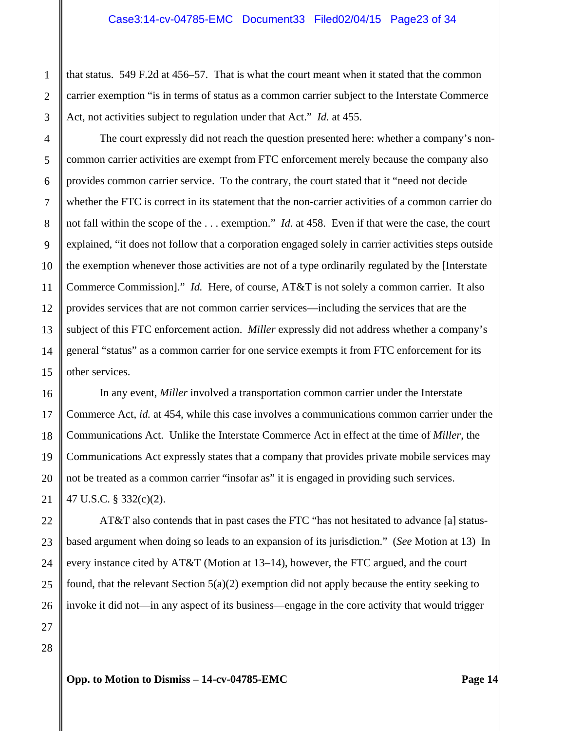that status. 549 F.2d at 456–57. That is what the court meant when it stated that the common carrier exemption "is in terms of status as a common carrier subject to the Interstate Commerce Act, not activities subject to regulation under that Act." *Id.* at 455.

The court expressly did not reach the question presented here: whether a company's noncommon carrier activities are exempt from FTC enforcement merely because the company also provides common carrier service. To the contrary, the court stated that it "need not decide whether the FTC is correct in its statement that the non-carrier activities of a common carrier do not fall within the scope of the . . . exemption." *Id*. at 458. Even if that were the case, the court explained, "it does not follow that a corporation engaged solely in carrier activities steps outside the exemption whenever those activities are not of a type ordinarily regulated by the [Interstate Commerce Commission]." *Id.* Here, of course, AT&T is not solely a common carrier. It also provides services that are not common carrier services—including the services that are the subject of this FTC enforcement action. *Miller* expressly did not address whether a company's general "status" as a common carrier for one service exempts it from FTC enforcement for its other services.

In any event, *Miller* involved a transportation common carrier under the Interstate Commerce Act, *id.* at 454, while this case involves a communications common carrier under the Communications Act. Unlike the Interstate Commerce Act in effect at the time of *Miller*, the Communications Act expressly states that a company that provides private mobile services may not be treated as a common carrier "insofar as" it is engaged in providing such services. 47 U.S.C. § 332(c)(2).

AT&T also contends that in past cases the FTC "has not hesitated to advance [a] statusbased argument when doing so leads to an expansion of its jurisdiction." (*See* Motion at 13) In every instance cited by AT&T (Motion at 13–14), however, the FTC argued, and the court found, that the relevant Section  $5(a)(2)$  exemption did not apply because the entity seeking to invoke it did not—in any aspect of its business—engage in the core activity that would trigger

28

1

2

3

4

5

6

7

8

9

10

11

12

13

14

15

16

17

18

19

20

21

22

23

24

25

26

27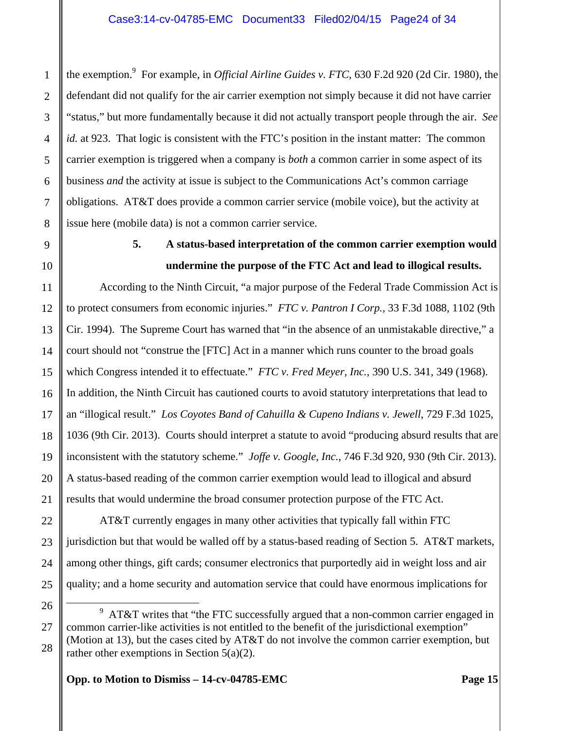the exemption.<sup>9</sup> For example, in *Official Airline Guides v. FTC*, 630 F.2d 920 (2d Cir. 1980), the defendant did not qualify for the air carrier exemption not simply because it did not have carrier "status," but more fundamentally because it did not actually transport people through the air. *See id.* at 923. That logic is consistent with the FTC's position in the instant matter: The common carrier exemption is triggered when a company is *both* a common carrier in some aspect of its business *and* the activity at issue is subject to the Communications Act's common carriage obligations. AT&T does provide a common carrier service (mobile voice), but the activity at issue here (mobile data) is not a common carrier service.

# **5. A status-based interpretation of the common carrier exemption would undermine the purpose of the FTC Act and lead to illogical results.**

According to the Ninth Circuit, "a major purpose of the Federal Trade Commission Act is to protect consumers from economic injuries." *FTC v. Pantron I Corp.*, 33 F.3d 1088, 1102 (9th Cir. 1994). The Supreme Court has warned that "in the absence of an unmistakable directive," a court should not "construe the [FTC] Act in a manner which runs counter to the broad goals which Congress intended it to effectuate." *FTC v. Fred Meyer, Inc.*, 390 U.S. 341, 349 (1968). In addition, the Ninth Circuit has cautioned courts to avoid statutory interpretations that lead to an "illogical result." *Los Coyotes Band of Cahuilla & Cupeno Indians v. Jewell*, 729 F.3d 1025, 1036 (9th Cir. 2013). Courts should interpret a statute to avoid "producing absurd results that are inconsistent with the statutory scheme." *Joffe v. Google, Inc.*, 746 F.3d 920, 930 (9th Cir. 2013). A status-based reading of the common carrier exemption would lead to illogical and absurd results that would undermine the broad consumer protection purpose of the FTC Act.

AT&T currently engages in many other activities that typically fall within FTC jurisdiction but that would be walled off by a status-based reading of Section 5. AT&T markets, among other things, gift cards; consumer electronics that purportedly aid in weight loss and air quality; and a home security and automation service that could have enormous implications for

**Opp. to Motion to Dismiss – 14-cv-04785-EMC Page 15 Page 15 Page 15 Page 15 Page 15 Page 15 Page 15 Page 15 Page 15 Page 15 Page 15 Page 15 Page 15 Page 15 Page 15 Page 15 Page 15 Page 15 Page 15 Page 16 Page 16 Page 16 P** 

1

2

 $\frac{1}{9}$  $9$  AT&T writes that "the FTC successfully argued that a non-common carrier engaged in common carrier-like activities is not entitled to the benefit of the jurisdictional exemption" (Motion at 13), but the cases cited by AT&T do not involve the common carrier exemption, but rather other exemptions in Section 5(a)(2).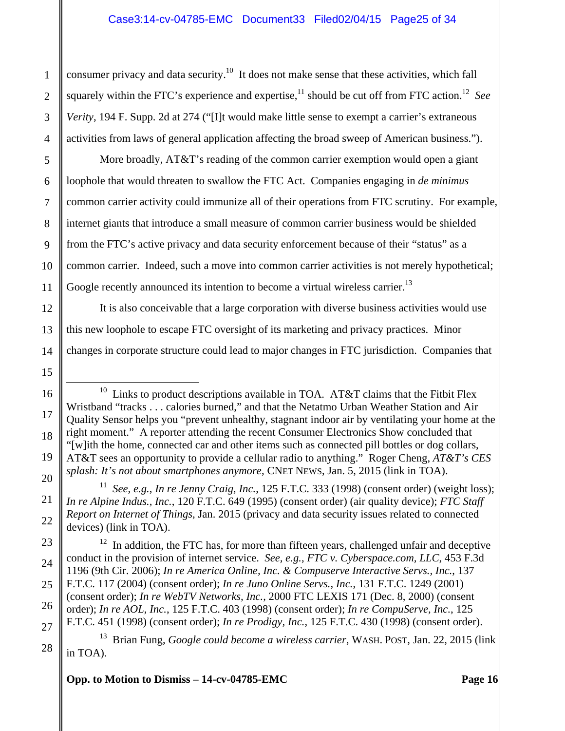### Case3:14-cv-04785-EMC Document33 Filed02/04/15 Page25 of 34

consumer privacy and data security.<sup>10</sup> It does not make sense that these activities, which fall squarely within the FTC's experience and expertise,<sup>11</sup> should be cut off from FTC action.<sup>12</sup> See *Verity*, 194 F. Supp. 2d at 274 ("[I]t would make little sense to exempt a carrier's extraneous activities from laws of general application affecting the broad sweep of American business.").

More broadly, AT&T's reading of the common carrier exemption would open a giant loophole that would threaten to swallow the FTC Act. Companies engaging in *de minimus* common carrier activity could immunize all of their operations from FTC scrutiny. For example, internet giants that introduce a small measure of common carrier business would be shielded from the FTC's active privacy and data security enforcement because of their "status" as a common carrier. Indeed, such a move into common carrier activities is not merely hypothetical; Google recently announced its intention to become a virtual wireless carrier.<sup>13</sup>

It is also conceivable that a large corporation with diverse business activities would use this new loophole to escape FTC oversight of its marketing and privacy practices. Minor changes in corporate structure could lead to major changes in FTC jurisdiction. Companies that

 16 17 18 19 <sup>10</sup> Links to product descriptions available in TOA. AT&T claims that the Fitbit Flex Wristband "tracks . . . calories burned," and that the Netatmo Urban Weather Station and Air Quality Sensor helps you "prevent unhealthy, stagnant indoor air by ventilating your home at the right moment." A reporter attending the recent Consumer Electronics Show concluded that "[w]ith the home, connected car and other items such as connected pill bottles or dog collars, AT&T sees an opportunity to provide a cellular radio to anything." Roger Cheng, *AT&T's CES splash: It's not about smartphones anymore*, CNET NEWS, Jan. 5, 2015 (link in TOA).

11 *See, e.g.*, *In re Jenny Craig, Inc.*, 125 F.T.C. 333 (1998) (consent order) (weight loss); *In re Alpine Indus., Inc.*, 120 F.T.C. 649 (1995) (consent order) (air quality device); *FTC Staff Report on Internet of Things*, Jan. 2015 (privacy and data security issues related to connected devices) (link in TOA).

 $12$  In addition, the FTC has, for more than fifteen years, challenged unfair and deceptive conduct in the provision of internet service. *See, e.g.*, *FTC v. Cyberspace.com, LLC*, 453 F.3d 1196 (9th Cir. 2006); *In re America Online, Inc. & Compuserve Interactive Servs., Inc.*, 137 F.T.C. 117 (2004) (consent order); *In re Juno Online Servs., Inc.*, 131 F.T.C. 1249 (2001) (consent order); *In re WebTV Networks, Inc.*, 2000 FTC LEXIS 171 (Dec. 8, 2000) (consent order); *In re AOL, Inc.*, 125 F.T.C. 403 (1998) (consent order); *In re CompuServe, Inc.*, 125 F.T.C. 451 (1998) (consent order); *In re Prodigy, Inc.*, 125 F.T.C. 430 (1998) (consent order).

13 Brian Fung, *Google could become a wireless carrier*, WASH. POST, Jan. 22, 2015 (link in TOA).

**Opp. to Motion to Dismiss – 14-cv-04785-EMC Page 16 Page 16 Page 16 Page 16 Page 16 Page 16 Page 16 Page 16 Page 16 Page 16 Page 16 Page 16 Page 16 Page 16 Page 16 Page 16 Page 16 Page 16 Page 16 Page 16 Page 16 Page 16 P**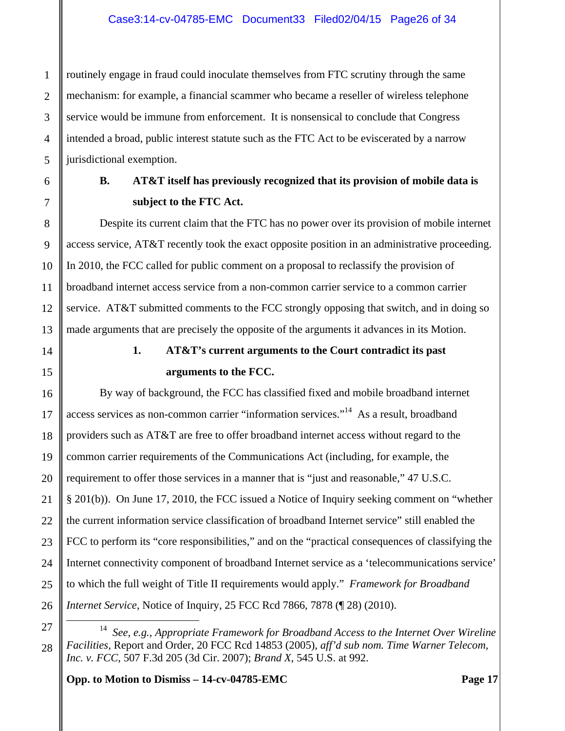### Case3:14-cv-04785-EMC Document33 Filed02/04/15 Page26 of 34

routinely engage in fraud could inoculate themselves from FTC scrutiny through the same mechanism: for example, a financial scammer who became a reseller of wireless telephone service would be immune from enforcement. It is nonsensical to conclude that Congress intended a broad, public interest statute such as the FTC Act to be eviscerated by a narrow jurisdictional exemption.

1

2

3

4

5

6

7

8

9

10

11

12

13

14

15

16

17

18

19

20

21

22

23

24

25

26

28

# **B. AT&T itself has previously recognized that its provision of mobile data is subject to the FTC Act.**

Despite its current claim that the FTC has no power over its provision of mobile internet access service, AT&T recently took the exact opposite position in an administrative proceeding. In 2010, the FCC called for public comment on a proposal to reclassify the provision of broadband internet access service from a non-common carrier service to a common carrier service. AT&T submitted comments to the FCC strongly opposing that switch, and in doing so made arguments that are precisely the opposite of the arguments it advances in its Motion.

# **1. AT&T's current arguments to the Court contradict its past arguments to the FCC.**

By way of background, the FCC has classified fixed and mobile broadband internet access services as non-common carrier "information services."14 As a result, broadband providers such as AT&T are free to offer broadband internet access without regard to the common carrier requirements of the Communications Act (including, for example, the requirement to offer those services in a manner that is "just and reasonable," 47 U.S.C. § 201(b)). On June 17, 2010, the FCC issued a Notice of Inquiry seeking comment on "whether the current information service classification of broadband Internet service" still enabled the FCC to perform its "core responsibilities," and on the "practical consequences of classifying the Internet connectivity component of broadband Internet service as a 'telecommunications service' to which the full weight of Title II requirements would apply." *Framework for Broadband Internet Service*, Notice of Inquiry, 25 FCC Rcd 7866, 7878 (¶ 28) (2010).

 <sup>27</sup> 

 <sup>14</sup> *See, e.g.*, *Appropriate Framework for Broadband Access to the Internet Over Wireline Facilities*, Report and Order, 20 FCC Rcd 14853 (2005), *aff'd sub nom. Time Warner Telecom, Inc. v. FCC*, 507 F.3d 205 (3d Cir. 2007); *Brand X*, 545 U.S. at 992.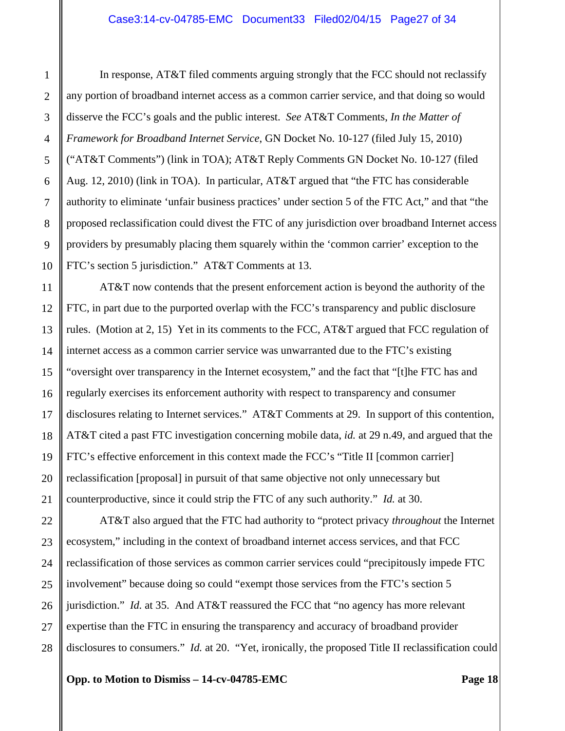In response, AT&T filed comments arguing strongly that the FCC should not reclassify any portion of broadband internet access as a common carrier service, and that doing so would disserve the FCC's goals and the public interest. *See* AT&T Comments, *In the Matter of Framework for Broadband Internet Service*, GN Docket No. 10-127 (filed July 15, 2010) ("AT&T Comments") (link in TOA); AT&T Reply Comments GN Docket No. 10-127 (filed Aug. 12, 2010) (link in TOA). In particular, AT&T argued that "the FTC has considerable authority to eliminate 'unfair business practices' under section 5 of the FTC Act," and that "the proposed reclassification could divest the FTC of any jurisdiction over broadband Internet access providers by presumably placing them squarely within the 'common carrier' exception to the FTC's section 5 jurisdiction." AT&T Comments at 13.

AT&T now contends that the present enforcement action is beyond the authority of the FTC, in part due to the purported overlap with the FCC's transparency and public disclosure rules. (Motion at 2, 15) Yet in its comments to the FCC, AT&T argued that FCC regulation of internet access as a common carrier service was unwarranted due to the FTC's existing "oversight over transparency in the Internet ecosystem," and the fact that "[t]he FTC has and regularly exercises its enforcement authority with respect to transparency and consumer disclosures relating to Internet services." AT&T Comments at 29. In support of this contention, AT&T cited a past FTC investigation concerning mobile data, *id.* at 29 n.49, and argued that the FTC's effective enforcement in this context made the FCC's "Title II [common carrier] reclassification [proposal] in pursuit of that same objective not only unnecessary but counterproductive, since it could strip the FTC of any such authority." *Id.* at 30.

AT&T also argued that the FTC had authority to "protect privacy *throughout* the Internet ecosystem," including in the context of broadband internet access services, and that FCC reclassification of those services as common carrier services could "precipitously impede FTC involvement" because doing so could "exempt those services from the FTC's section 5 jurisdiction." *Id.* at 35. And AT&T reassured the FCC that "no agency has more relevant expertise than the FTC in ensuring the transparency and accuracy of broadband provider disclosures to consumers." *Id.* at 20. "Yet, ironically, the proposed Title II reclassification could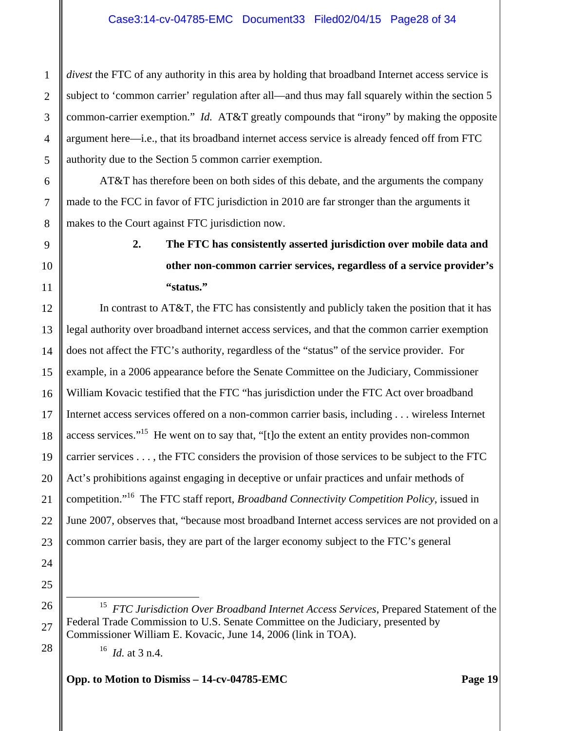*divest* the FTC of any authority in this area by holding that broadband Internet access service is subject to 'common carrier' regulation after all—and thus may fall squarely within the section 5 common-carrier exemption." *Id.* AT&T greatly compounds that "irony" by making the opposite argument here—i.e., that its broadband internet access service is already fenced off from FTC authority due to the Section 5 common carrier exemption.

AT&T has therefore been on both sides of this debate, and the arguments the company made to the FCC in favor of FTC jurisdiction in 2010 are far stronger than the arguments it makes to the Court against FTC jurisdiction now.

# **2. The FTC has consistently asserted jurisdiction over mobile data and other non-common carrier services, regardless of a service provider's "status."**

In contrast to AT&T, the FTC has consistently and publicly taken the position that it has legal authority over broadband internet access services, and that the common carrier exemption does not affect the FTC's authority, regardless of the "status" of the service provider. For example, in a 2006 appearance before the Senate Committee on the Judiciary, Commissioner William Kovacic testified that the FTC "has jurisdiction under the FTC Act over broadband Internet access services offered on a non-common carrier basis, including . . . wireless Internet access services."15 He went on to say that, "[t]o the extent an entity provides non-common carrier services . . . , the FTC considers the provision of those services to be subject to the FTC Act's prohibitions against engaging in deceptive or unfair practices and unfair methods of competition."16 The FTC staff report, *Broadband Connectivity Competition Policy*, issued in June 2007, observes that, "because most broadband Internet access services are not provided on a common carrier basis, they are part of the larger economy subject to the FTC's general

28

1

2

3

4

5

6

7

8

9

10

11

12

13

14

15

16

17

18

19

20

21

22

16 *Id.* at 3 n.4.

 <sup>15</sup> *FTC Jurisdiction Over Broadband Internet Access Services*, Prepared Statement of the Federal Trade Commission to U.S. Senate Committee on the Judiciary, presented by Commissioner William E. Kovacic, June 14, 2006 (link in TOA).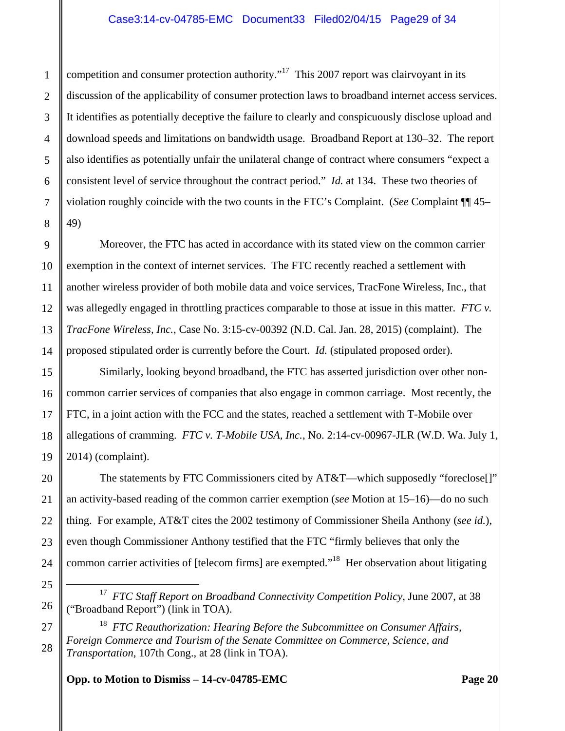### Case3:14-cv-04785-EMC Document33 Filed02/04/15 Page29 of 34

competition and consumer protection authority."<sup>17</sup> This 2007 report was clairvoyant in its discussion of the applicability of consumer protection laws to broadband internet access services. It identifies as potentially deceptive the failure to clearly and conspicuously disclose upload and download speeds and limitations on bandwidth usage. Broadband Report at 130–32. The report also identifies as potentially unfair the unilateral change of contract where consumers "expect a consistent level of service throughout the contract period." *Id.* at 134. These two theories of violation roughly coincide with the two counts in the FTC's Complaint. (*See* Complaint ¶¶ 45– 49)

Moreover, the FTC has acted in accordance with its stated view on the common carrier exemption in the context of internet services. The FTC recently reached a settlement with another wireless provider of both mobile data and voice services, TracFone Wireless, Inc., that was allegedly engaged in throttling practices comparable to those at issue in this matter. *FTC v. TracFone Wireless, Inc.*, Case No. 3:15-cv-00392 (N.D. Cal. Jan. 28, 2015) (complaint). The proposed stipulated order is currently before the Court. *Id.* (stipulated proposed order).

Similarly, looking beyond broadband, the FTC has asserted jurisdiction over other noncommon carrier services of companies that also engage in common carriage. Most recently, the FTC, in a joint action with the FCC and the states, reached a settlement with T-Mobile over allegations of cramming. *FTC v. T-Mobile USA, Inc.*, No. 2:14-cv-00967-JLR (W.D. Wa. July 1, 2014) (complaint).

The statements by FTC Commissioners cited by AT&T—which supposedly "foreclose[]" an activity-based reading of the common carrier exemption (*see* Motion at 15–16)—do no such thing. For example, AT&T cites the 2002 testimony of Commissioner Sheila Anthony (*see id.*), even though Commissioner Anthony testified that the FTC "firmly believes that only the common carrier activities of [telecom firms] are exempted."18 Her observation about litigating

 17 *FTC Staff Report on Broadband Connectivity Competition Policy*, June 2007, at 38 ("Broadband Report") (link in TOA).

18 *FTC Reauthorization: Hearing Before the Subcommittee on Consumer Affairs, Foreign Commerce and Tourism of the Senate Committee on Commerce, Science, and Transportation*, 107th Cong., at 28 (link in TOA).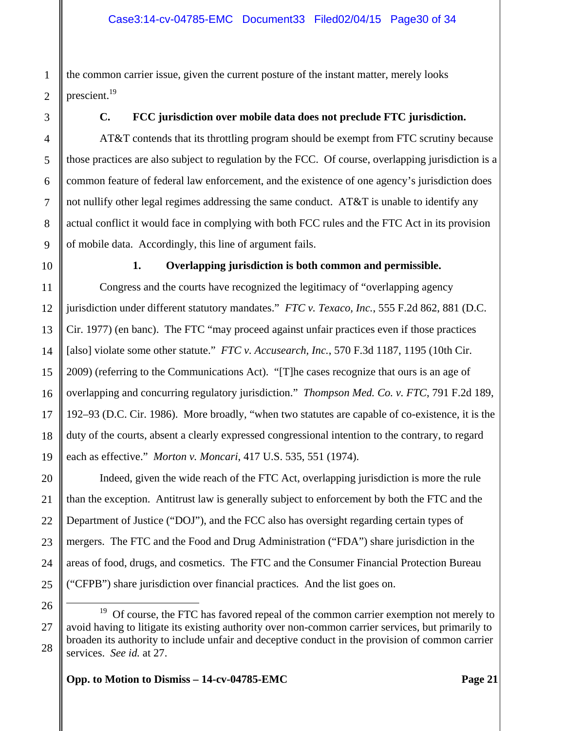the common carrier issue, given the current posture of the instant matter, merely looks prescient.<sup>19</sup>

### **C. FCC jurisdiction over mobile data does not preclude FTC jurisdiction.**

AT&T contends that its throttling program should be exempt from FTC scrutiny because those practices are also subject to regulation by the FCC. Of course, overlapping jurisdiction is a common feature of federal law enforcement, and the existence of one agency's jurisdiction does not nullify other legal regimes addressing the same conduct. AT&T is unable to identify any actual conflict it would face in complying with both FCC rules and the FTC Act in its provision of mobile data. Accordingly, this line of argument fails.

#### **1. Overlapping jurisdiction is both common and permissible.**

Congress and the courts have recognized the legitimacy of "overlapping agency jurisdiction under different statutory mandates." *FTC v. Texaco, Inc.*, 555 F.2d 862, 881 (D.C. Cir. 1977) (en banc). The FTC "may proceed against unfair practices even if those practices [also] violate some other statute." *FTC v. Accusearch, Inc.*, 570 F.3d 1187, 1195 (10th Cir. 2009) (referring to the Communications Act). "[T]he cases recognize that ours is an age of overlapping and concurring regulatory jurisdiction." *Thompson Med. Co. v. FTC*, 791 F.2d 189, 192–93 (D.C. Cir. 1986). More broadly, "when two statutes are capable of co-existence, it is the duty of the courts, absent a clearly expressed congressional intention to the contrary, to regard each as effective." *Morton v. Moncari*, 417 U.S. 535, 551 (1974).

Indeed, given the wide reach of the FTC Act, overlapping jurisdiction is more the rule than the exception. Antitrust law is generally subject to enforcement by both the FTC and the Department of Justice ("DOJ"), and the FCC also has oversight regarding certain types of mergers. The FTC and the Food and Drug Administration ("FDA") share jurisdiction in the areas of food, drugs, and cosmetics. The FTC and the Consumer Financial Protection Bureau ("CFPB") share jurisdiction over financial practices. And the list goes on.

<sup>&</sup>lt;sup>19</sup> Of course, the FTC has favored repeal of the common carrier exemption not merely to avoid having to litigate its existing authority over non-common carrier services, but primarily to broaden its authority to include unfair and deceptive conduct in the provision of common carrier services. *See id.* at 27.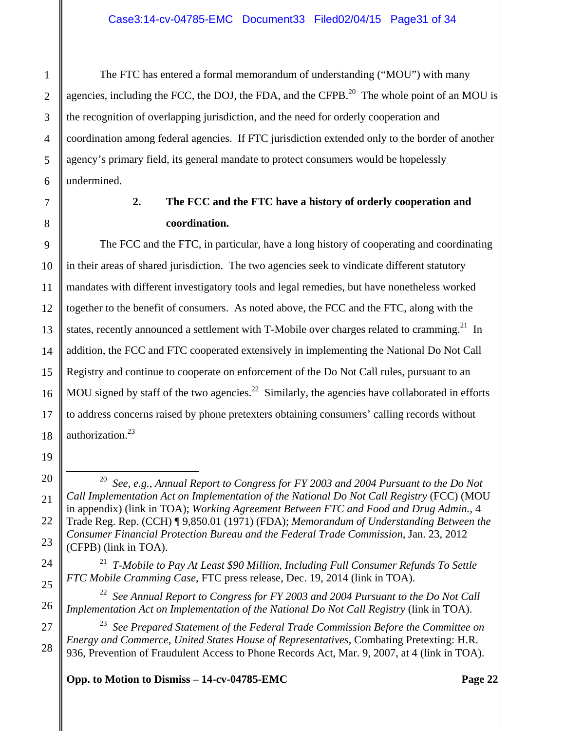The FTC has entered a formal memorandum of understanding ("MOU") with many agencies, including the FCC, the DOJ, the FDA, and the CFPB.<sup>20</sup> The whole point of an MOU is the recognition of overlapping jurisdiction, and the need for orderly cooperation and coordination among federal agencies. If FTC jurisdiction extended only to the border of another agency's primary field, its general mandate to protect consumers would be hopelessly undermined.

# **2. The FCC and the FTC have a history of orderly cooperation and coordination.**

The FCC and the FTC, in particular, have a long history of cooperating and coordinating in their areas of shared jurisdiction. The two agencies seek to vindicate different statutory mandates with different investigatory tools and legal remedies, but have nonetheless worked together to the benefit of consumers. As noted above, the FCC and the FTC, along with the states, recently announced a settlement with  $T-Mobile$  over charges related to cramming.<sup>21</sup> In addition, the FCC and FTC cooperated extensively in implementing the National Do Not Call Registry and continue to cooperate on enforcement of the Do Not Call rules, pursuant to an MOU signed by staff of the two agencies.<sup>22</sup> Similarly, the agencies have collaborated in efforts to address concerns raised by phone pretexters obtaining consumers' calling records without authorization.<sup>23</sup>

21 *T-Mobile to Pay At Least \$90 Million, Including Full Consumer Refunds To Settle FTC Mobile Cramming Case*, FTC press release, Dec. 19, 2014 (link in TOA).

<sup>22</sup> See Annual Report to Congress for FY 2003 and 2004 Pursuant to the Do Not Call *Implementation Act on Implementation of the National Do Not Call Registry* (link in TOA).

23 *See Prepared Statement of the Federal Trade Commission Before the Committee on Energy and Commerce, United States House of Representatives*, Combating Pretexting: H.R. 936, Prevention of Fraudulent Access to Phone Records Act, Mar. 9, 2007, at 4 (link in TOA).

 <sup>20</sup> *See, e.g.*, *Annual Report to Congress for FY 2003 and 2004 Pursuant to the Do Not Call Implementation Act on Implementation of the National Do Not Call Registry* (FCC) (MOU in appendix) (link in TOA); *Working Agreement Between FTC and Food and Drug Admin.*, 4 Trade Reg. Rep. (CCH) ¶ 9,850.01 (1971) (FDA); *Memorandum of Understanding Between the Consumer Financial Protection Bureau and the Federal Trade Commission*, Jan. 23, 2012 (CFPB) (link in TOA).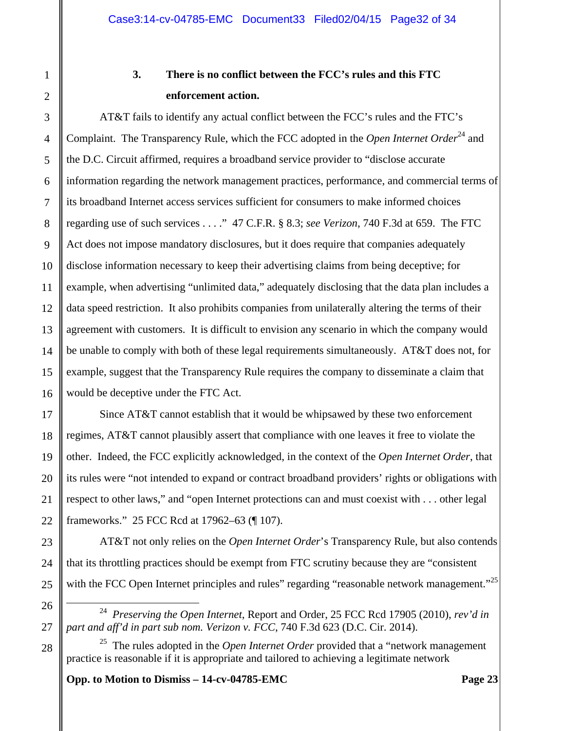# **3. There is no conflict between the FCC's rules and this FTC enforcement action.**

 AT&T fails to identify any actual conflict between the FCC's rules and the FTC's Complaint. The Transparency Rule, which the FCC adopted in the *Open Internet Order*<sup>24</sup> and the D.C. Circuit affirmed, requires a broadband service provider to "disclose accurate information regarding the network management practices, performance, and commercial terms of its broadband Internet access services sufficient for consumers to make informed choices regarding use of such services . . . ." 47 C.F.R. § 8.3; *see Verizon*, 740 F.3d at 659. The FTC Act does not impose mandatory disclosures, but it does require that companies adequately disclose information necessary to keep their advertising claims from being deceptive; for example, when advertising "unlimited data," adequately disclosing that the data plan includes a data speed restriction. It also prohibits companies from unilaterally altering the terms of their agreement with customers. It is difficult to envision any scenario in which the company would be unable to comply with both of these legal requirements simultaneously. AT&T does not, for example, suggest that the Transparency Rule requires the company to disseminate a claim that would be deceptive under the FTC Act.

Since AT&T cannot establish that it would be whipsawed by these two enforcement regimes, AT&T cannot plausibly assert that compliance with one leaves it free to violate the other. Indeed, the FCC explicitly acknowledged, in the context of the *Open Internet Order*, that its rules were "not intended to expand or contract broadband providers' rights or obligations with respect to other laws," and "open Internet protections can and must coexist with . . . other legal frameworks." 25 FCC Rcd at 17962–63 (¶ 107).

AT&T not only relies on the *Open Internet Order*'s Transparency Rule, but also contends that its throttling practices should be exempt from FTC scrutiny because they are "consistent with the FCC Open Internet principles and rules" regarding "reasonable network management."<sup>25</sup>

 <sup>24</sup> *Preserving the Open Internet*, Report and Order, 25 FCC Rcd 17905 (2010), *rev'd in part and aff'd in part sub nom. Verizon v. FCC*, 740 F.3d 623 (D.C. Cir. 2014).

<sup>25</sup> The rules adopted in the *Open Internet Order* provided that a "network management practice is reasonable if it is appropriate and tailored to achieving a legitimate network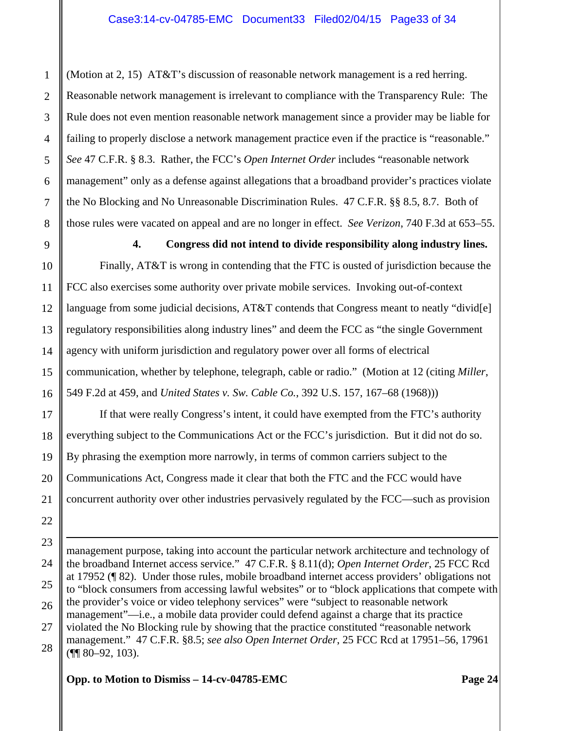(Motion at 2, 15) AT&T's discussion of reasonable network management is a red herring. Reasonable network management is irrelevant to compliance with the Transparency Rule: The Rule does not even mention reasonable network management since a provider may be liable for failing to properly disclose a network management practice even if the practice is "reasonable." *See* 47 C.F.R. § 8.3. Rather, the FCC's *Open Internet Order* includes "reasonable network management" only as a defense against allegations that a broadband provider's practices violate the No Blocking and No Unreasonable Discrimination Rules. 47 C.F.R. §§ 8.5, 8.7. Both of those rules were vacated on appeal and are no longer in effect. *See Verizon*, 740 F.3d at 653–55.

**4. Congress did not intend to divide responsibility along industry lines.** 

Finally, AT&T is wrong in contending that the FTC is ousted of jurisdiction because the FCC also exercises some authority over private mobile services. Invoking out-of-context language from some judicial decisions, AT&T contends that Congress meant to neatly "divid[e] regulatory responsibilities along industry lines" and deem the FCC as "the single Government agency with uniform jurisdiction and regulatory power over all forms of electrical communication, whether by telephone, telegraph, cable or radio." (Motion at 12 (citing *Miller*, 549 F.2d at 459, and *United States v. Sw. Cable Co.*, 392 U.S. 157, 167–68 (1968)))

If that were really Congress's intent, it could have exempted from the FTC's authority everything subject to the Communications Act or the FCC's jurisdiction. But it did not do so. By phrasing the exemption more narrowly, in terms of common carriers subject to the Communications Act, Congress made it clear that both the FTC and the FCC would have concurrent authority over other industries pervasively regulated by the FCC—such as provision

management purpose, taking into account the particular network architecture and technology of the broadband Internet access service." 47 C.F.R. § 8.11(d); *Open Internet Order*, 25 FCC Rcd at 17952 (¶ 82). Under those rules, mobile broadband internet access providers' obligations not to "block consumers from accessing lawful websites" or to "block applications that compete with the provider's voice or video telephony services" were "subject to reasonable network management"—i.e., a mobile data provider could defend against a charge that its practice violated the No Blocking rule by showing that the practice constituted "reasonable network management." 47 C.F.R. §8.5; *see also Open Internet Order*, 25 FCC Rcd at 17951–56, 17961 (¶¶ 80–92, 103).

### **Opp. to Motion to Dismiss – 14-cv-04785-EMC Page 24**

 $\overline{a}$